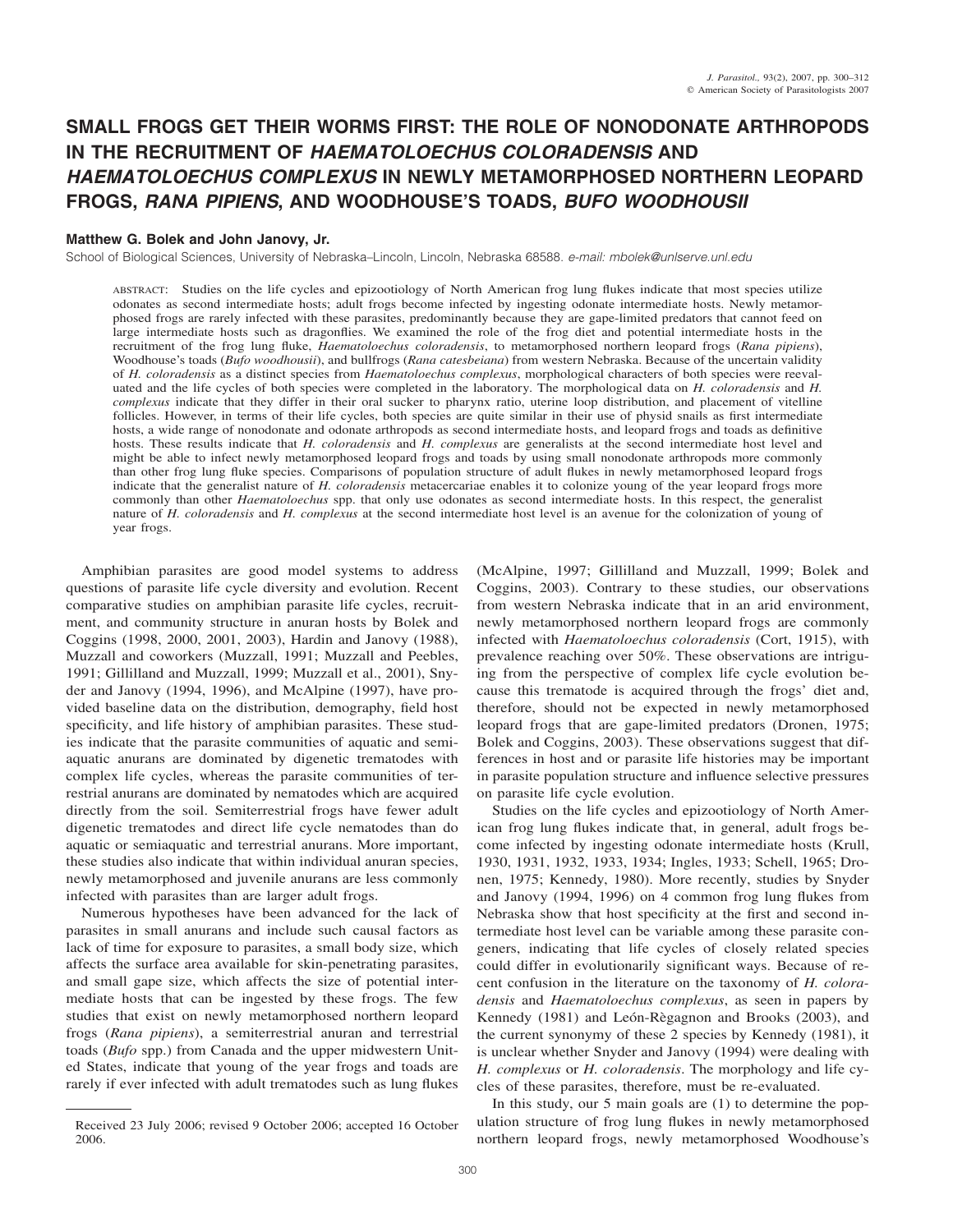# **SMALL FROGS GET THEIR WORMS FIRST: THE ROLE OF NONODONATE ARTHROPODS IN THE RECRUITMENT OF** *HAEMATOLOECHUS COLORADENSIS* **AND** *HAEMATOLOECHUS COMPLEXUS* **IN NEWLY METAMORPHOSED NORTHERN LEOPARD FROGS,** *RANA PIPIENS***, AND WOODHOUSE'S TOADS,** *BUFO WOODHOUSII*

## **Matthew G. Bolek and John Janovy, Jr.**

School of Biological Sciences, University of Nebraska–Lincoln, Lincoln, Nebraska 68588. *e-mail: mbolek@unlserve.unl.edu*

ABSTRACT: Studies on the life cycles and epizootiology of North American frog lung flukes indicate that most species utilize odonates as second intermediate hosts; adult frogs become infected by ingesting odonate intermediate hosts. Newly metamorphosed frogs are rarely infected with these parasites, predominantly because they are gape-limited predators that cannot feed on large intermediate hosts such as dragonflies. We examined the role of the frog diet and potential intermediate hosts in the recruitment of the frog lung fluke, *Haematoloechus coloradensis*, to metamorphosed northern leopard frogs (*Rana pipiens*), Woodhouse's toads (*Bufo woodhousii*), and bullfrogs (*Rana catesbeiana*) from western Nebraska. Because of the uncertain validity of *H. coloradensis* as a distinct species from *Haematoloechus complexus*, morphological characters of both species were reevaluated and the life cycles of both species were completed in the laboratory. The morphological data on *H. coloradensis* and *H. complexus* indicate that they differ in their oral sucker to pharynx ratio, uterine loop distribution, and placement of vitelline follicles. However, in terms of their life cycles, both species are quite similar in their use of physid snails as first intermediate hosts, a wide range of nonodonate and odonate arthropods as second intermediate hosts, and leopard frogs and toads as definitive hosts. These results indicate that *H. coloradensis* and *H. complexus* are generalists at the second intermediate host level and might be able to infect newly metamorphosed leopard frogs and toads by using small nonodonate arthropods more commonly than other frog lung fluke species. Comparisons of population structure of adult flukes in newly metamorphosed leopard frogs indicate that the generalist nature of *H. coloradensis* metacercariae enables it to colonize young of the year leopard frogs more commonly than other *Haematoloechus* spp. that only use odonates as second intermediate hosts. In this respect, the generalist nature of *H. coloradensis* and *H. complexus* at the second intermediate host level is an avenue for the colonization of young of year frogs.

Amphibian parasites are good model systems to address questions of parasite life cycle diversity and evolution. Recent comparative studies on amphibian parasite life cycles, recruitment, and community structure in anuran hosts by Bolek and Coggins (1998, 2000, 2001, 2003), Hardin and Janovy (1988), Muzzall and coworkers (Muzzall, 1991; Muzzall and Peebles, 1991; Gillilland and Muzzall, 1999; Muzzall et al., 2001), Snyder and Janovy (1994, 1996), and McAlpine (1997), have provided baseline data on the distribution, demography, field host specificity, and life history of amphibian parasites. These studies indicate that the parasite communities of aquatic and semiaquatic anurans are dominated by digenetic trematodes with complex life cycles, whereas the parasite communities of terrestrial anurans are dominated by nematodes which are acquired directly from the soil. Semiterrestrial frogs have fewer adult digenetic trematodes and direct life cycle nematodes than do aquatic or semiaquatic and terrestrial anurans. More important, these studies also indicate that within individual anuran species, newly metamorphosed and juvenile anurans are less commonly infected with parasites than are larger adult frogs.

Numerous hypotheses have been advanced for the lack of parasites in small anurans and include such causal factors as lack of time for exposure to parasites, a small body size, which affects the surface area available for skin-penetrating parasites, and small gape size, which affects the size of potential intermediate hosts that can be ingested by these frogs. The few studies that exist on newly metamorphosed northern leopard frogs (*Rana pipiens*), a semiterrestrial anuran and terrestrial toads (*Bufo* spp.) from Canada and the upper midwestern United States, indicate that young of the year frogs and toads are rarely if ever infected with adult trematodes such as lung flukes

Received 23 July 2006; revised 9 October 2006; accepted 16 October 2006.

(McAlpine, 1997; Gillilland and Muzzall, 1999; Bolek and Coggins, 2003). Contrary to these studies, our observations from western Nebraska indicate that in an arid environment, newly metamorphosed northern leopard frogs are commonly infected with *Haematoloechus coloradensis* (Cort, 1915), with prevalence reaching over 50%. These observations are intriguing from the perspective of complex life cycle evolution because this trematode is acquired through the frogs' diet and, therefore, should not be expected in newly metamorphosed leopard frogs that are gape-limited predators (Dronen, 1975; Bolek and Coggins, 2003). These observations suggest that differences in host and or parasite life histories may be important in parasite population structure and influence selective pressures on parasite life cycle evolution.

Studies on the life cycles and epizootiology of North American frog lung flukes indicate that, in general, adult frogs become infected by ingesting odonate intermediate hosts (Krull, 1930, 1931, 1932, 1933, 1934; Ingles, 1933; Schell, 1965; Dronen, 1975; Kennedy, 1980). More recently, studies by Snyder and Janovy (1994, 1996) on 4 common frog lung flukes from Nebraska show that host specificity at the first and second intermediate host level can be variable among these parasite congeners, indicating that life cycles of closely related species could differ in evolutionarily significant ways. Because of recent confusion in the literature on the taxonomy of *H. coloradensis* and *Haematoloechus complexus*, as seen in papers by Kennedy (1981) and León-Règagnon and Brooks (2003), and the current synonymy of these 2 species by Kennedy (1981), it is unclear whether Snyder and Janovy (1994) were dealing with *H. complexus* or *H. coloradensis*. The morphology and life cycles of these parasites, therefore, must be re-evaluated.

In this study, our 5 main goals are (1) to determine the population structure of frog lung flukes in newly metamorphosed northern leopard frogs, newly metamorphosed Woodhouse's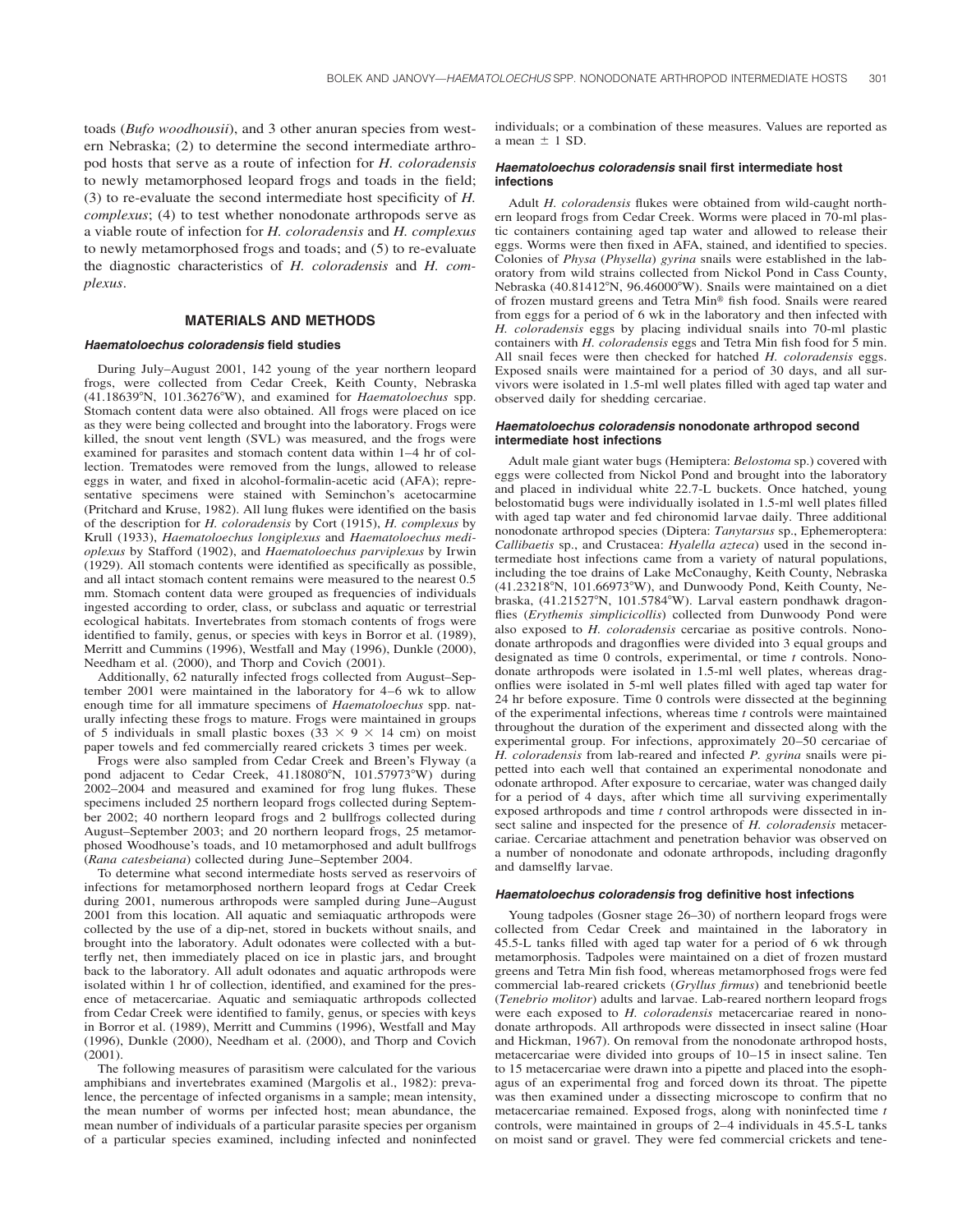toads (*Bufo woodhousii*), and 3 other anuran species from western Nebraska; (2) to determine the second intermediate arthropod hosts that serve as a route of infection for *H. coloradensis* to newly metamorphosed leopard frogs and toads in the field; (3) to re-evaluate the second intermediate host specificity of *H. complexus*; (4) to test whether nonodonate arthropods serve as a viable route of infection for *H. coloradensis* and *H. complexus* to newly metamorphosed frogs and toads; and (5) to re-evaluate the diagnostic characteristics of *H. coloradensis* and *H. complexus*.

# **MATERIALS AND METHODS**

### *Haematoloechus coloradensis* **field studies**

During July–August 2001, 142 young of the year northern leopard frogs, were collected from Cedar Creek, Keith County, Nebraska (41.18639°N, 101.36276°W), and examined for *Haematoloechus* spp. Stomach content data were also obtained. All frogs were placed on ice as they were being collected and brought into the laboratory. Frogs were killed, the snout vent length (SVL) was measured, and the frogs were examined for parasites and stomach content data within 1–4 hr of collection. Trematodes were removed from the lungs, allowed to release eggs in water, and fixed in alcohol-formalin-acetic acid (AFA); representative specimens were stained with Seminchon's acetocarmine (Pritchard and Kruse, 1982). All lung flukes were identified on the basis of the description for *H. coloradensis* by Cort (1915), *H. complexus* by Krull (1933), *Haematoloechus longiplexus* and *Haematoloechus medioplexus* by Stafford (1902), and *Haematoloechus parviplexus* by Irwin (1929). All stomach contents were identified as specifically as possible, and all intact stomach content remains were measured to the nearest 0.5 mm. Stomach content data were grouped as frequencies of individuals ingested according to order, class, or subclass and aquatic or terrestrial ecological habitats. Invertebrates from stomach contents of frogs were identified to family, genus, or species with keys in Borror et al. (1989), Merritt and Cummins (1996), Westfall and May (1996), Dunkle (2000), Needham et al. (2000), and Thorp and Covich (2001).

Additionally, 62 naturally infected frogs collected from August–September 2001 were maintained in the laboratory for 4–6 wk to allow enough time for all immature specimens of *Haematoloechus* spp. naturally infecting these frogs to mature. Frogs were maintained in groups of 5 individuals in small plastic boxes (33  $\times$  9  $\times$  14 cm) on moist paper towels and fed commercially reared crickets 3 times per week.

Frogs were also sampled from Cedar Creek and Breen's Flyway (a pond adjacent to Cedar Creek, 41.18080°N, 101.57973°W) during 2002–2004 and measured and examined for frog lung flukes. These specimens included 25 northern leopard frogs collected during September 2002; 40 northern leopard frogs and 2 bullfrogs collected during August–September 2003; and 20 northern leopard frogs, 25 metamorphosed Woodhouse's toads, and 10 metamorphosed and adult bullfrogs (*Rana catesbeiana*) collected during June–September 2004.

To determine what second intermediate hosts served as reservoirs of infections for metamorphosed northern leopard frogs at Cedar Creek during 2001, numerous arthropods were sampled during June–August 2001 from this location. All aquatic and semiaquatic arthropods were collected by the use of a dip-net, stored in buckets without snails, and brought into the laboratory. Adult odonates were collected with a butterfly net, then immediately placed on ice in plastic jars, and brought back to the laboratory. All adult odonates and aquatic arthropods were isolated within 1 hr of collection, identified, and examined for the presence of metacercariae. Aquatic and semiaquatic arthropods collected from Cedar Creek were identified to family, genus, or species with keys in Borror et al. (1989), Merritt and Cummins (1996), Westfall and May (1996), Dunkle (2000), Needham et al. (2000), and Thorp and Covich (2001).

The following measures of parasitism were calculated for the various amphibians and invertebrates examined (Margolis et al., 1982): prevalence, the percentage of infected organisms in a sample; mean intensity, the mean number of worms per infected host; mean abundance, the mean number of individuals of a particular parasite species per organism of a particular species examined, including infected and noninfected individuals; or a combination of these measures. Values are reported as a mean  $\pm$  1 SD.

#### *Haematoloechus coloradensis* **snail first intermediate host infections**

Adult *H. coloradensis* flukes were obtained from wild-caught northern leopard frogs from Cedar Creek. Worms were placed in 70-ml plastic containers containing aged tap water and allowed to release their eggs. Worms were then fixed in AFA, stained, and identified to species. Colonies of *Physa* (*Physella*) *gyrina* snails were established in the laboratory from wild strains collected from Nickol Pond in Cass County, Nebraska (40.81412°N, 96.46000°W). Snails were maintained on a diet of frozen mustard greens and Tetra Min® fish food. Snails were reared from eggs for a period of 6 wk in the laboratory and then infected with *H. coloradensis* eggs by placing individual snails into 70-ml plastic containers with *H. coloradensis* eggs and Tetra Min fish food for 5 min. All snail feces were then checked for hatched *H. coloradensis* eggs. Exposed snails were maintained for a period of 30 days, and all survivors were isolated in 1.5-ml well plates filled with aged tap water and observed daily for shedding cercariae.

#### *Haematoloechus coloradensis* **nonodonate arthropod second intermediate host infections**

Adult male giant water bugs (Hemiptera: *Belostoma* sp.) covered with eggs were collected from Nickol Pond and brought into the laboratory and placed in individual white 22.7-L buckets. Once hatched, young belostomatid bugs were individually isolated in 1.5-ml well plates filled with aged tap water and fed chironomid larvae daily. Three additional nonodonate arthropod species (Diptera: *Tanytarsus* sp., Ephemeroptera: *Callibaetis* sp., and Crustacea: *Hyalella azteca*) used in the second intermediate host infections came from a variety of natural populations, including the toe drains of Lake McConaughy, Keith County, Nebraska (41.23218°N, 101.66973°W), and Dunwoody Pond, Keith County, Nebraska, (41.21527°N, 101.5784°W). Larval eastern pondhawk dragonflies (*Erythemis simplicicollis*) collected from Dunwoody Pond were also exposed to *H. coloradensis* cercariae as positive controls. Nonodonate arthropods and dragonflies were divided into 3 equal groups and designated as time 0 controls, experimental, or time *t* controls. Nonodonate arthropods were isolated in 1.5-ml well plates, whereas dragonflies were isolated in 5-ml well plates filled with aged tap water for 24 hr before exposure. Time 0 controls were dissected at the beginning of the experimental infections, whereas time *t* controls were maintained throughout the duration of the experiment and dissected along with the experimental group. For infections, approximately 20–50 cercariae of *H. coloradensis* from lab-reared and infected *P. gyrina* snails were pipetted into each well that contained an experimental nonodonate and odonate arthropod. After exposure to cercariae, water was changed daily for a period of 4 days, after which time all surviving experimentally exposed arthropods and time *t* control arthropods were dissected in insect saline and inspected for the presence of *H. coloradensis* metacercariae. Cercariae attachment and penetration behavior was observed on a number of nonodonate and odonate arthropods, including dragonfly and damselfly larvae.

#### *Haematoloechus coloradensis* **frog definitive host infections**

Young tadpoles (Gosner stage 26–30) of northern leopard frogs were collected from Cedar Creek and maintained in the laboratory in 45.5-L tanks filled with aged tap water for a period of 6 wk through metamorphosis. Tadpoles were maintained on a diet of frozen mustard greens and Tetra Min fish food, whereas metamorphosed frogs were fed commercial lab-reared crickets (*Gryllus firmus*) and tenebrionid beetle (*Tenebrio molitor*) adults and larvae. Lab-reared northern leopard frogs were each exposed to *H. coloradensis* metacercariae reared in nonodonate arthropods. All arthropods were dissected in insect saline (Hoar and Hickman, 1967). On removal from the nonodonate arthropod hosts, metacercariae were divided into groups of 10–15 in insect saline. Ten to 15 metacercariae were drawn into a pipette and placed into the esophagus of an experimental frog and forced down its throat. The pipette was then examined under a dissecting microscope to confirm that no metacercariae remained. Exposed frogs, along with noninfected time *t* controls, were maintained in groups of 2–4 individuals in 45.5-L tanks on moist sand or gravel. They were fed commercial crickets and tene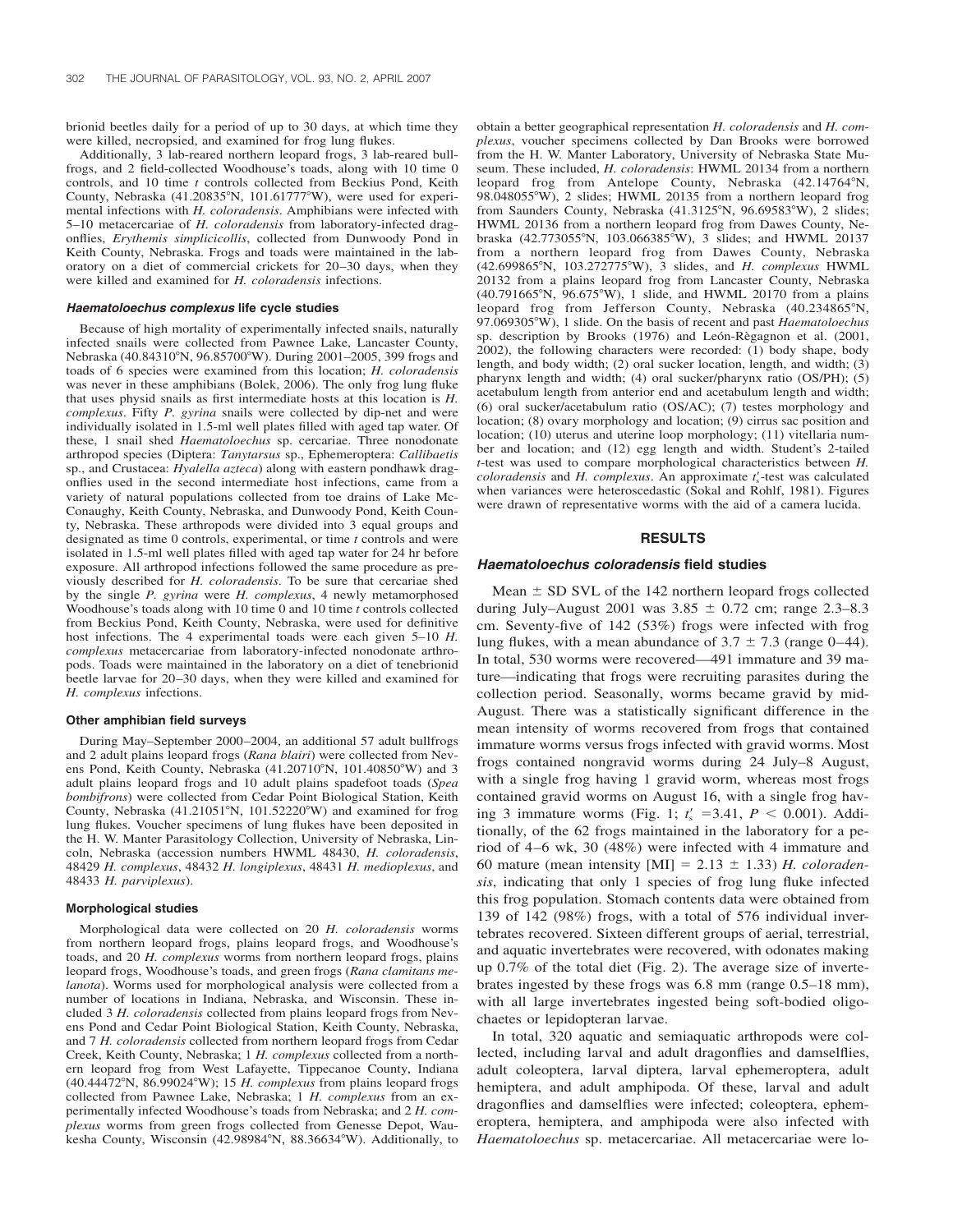brionid beetles daily for a period of up to 30 days, at which time they were killed, necropsied, and examined for frog lung flukes.

Additionally, 3 lab-reared northern leopard frogs, 3 lab-reared bullfrogs, and 2 field-collected Woodhouse's toads, along with 10 time 0 controls, and 10 time *t* controls collected from Beckius Pond, Keith County, Nebraska (41.20835°N, 101.61777°W), were used for experimental infections with *H. coloradensis*. Amphibians were infected with 5–10 metacercariae of *H. coloradensis* from laboratory-infected dragonflies, *Erythemis simplicicollis*, collected from Dunwoody Pond in Keith County, Nebraska. Frogs and toads were maintained in the laboratory on a diet of commercial crickets for 20–30 days, when they were killed and examined for *H. coloradensis* infections.

### *Haematoloechus complexus* **life cycle studies**

Because of high mortality of experimentally infected snails, naturally infected snails were collected from Pawnee Lake, Lancaster County, Nebraska (40.84310°N, 96.85700°W). During 2001–2005, 399 frogs and toads of 6 species were examined from this location; *H. coloradensis* was never in these amphibians (Bolek, 2006). The only frog lung fluke that uses physid snails as first intermediate hosts at this location is *H. complexus*. Fifty *P. gyrina* snails were collected by dip-net and were individually isolated in 1.5-ml well plates filled with aged tap water. Of these, 1 snail shed *Haematoloechus* sp. cercariae. Three nonodonate arthropod species (Diptera: *Tanytarsus* sp., Ephemeroptera: *Callibaetis* sp., and Crustacea: *Hyalella azteca*) along with eastern pondhawk dragonflies used in the second intermediate host infections, came from a variety of natural populations collected from toe drains of Lake Mc-Conaughy, Keith County, Nebraska, and Dunwoody Pond, Keith County, Nebraska. These arthropods were divided into 3 equal groups and designated as time 0 controls, experimental, or time *t* controls and were isolated in 1.5-ml well plates filled with aged tap water for 24 hr before exposure. All arthropod infections followed the same procedure as previously described for *H. coloradensis*. To be sure that cercariae shed by the single *P. gyrina* were *H. complexus*, 4 newly metamorphosed Woodhouse's toads along with 10 time 0 and 10 time *t* controls collected from Beckius Pond, Keith County, Nebraska, were used for definitive host infections. The 4 experimental toads were each given 5–10 *H. complexus* metacercariae from laboratory-infected nonodonate arthropods. Toads were maintained in the laboratory on a diet of tenebrionid beetle larvae for 20–30 days, when they were killed and examined for *H. complexus* infections.

### **Other amphibian field surveys**

During May–September 2000–2004, an additional 57 adult bullfrogs and 2 adult plains leopard frogs (*Rana blairi*) were collected from Nevens Pond, Keith County, Nebraska (41.20710°N, 101.40850°W) and 3 adult plains leopard frogs and 10 adult plains spadefoot toads (*Spea bombifrons*) were collected from Cedar Point Biological Station, Keith County, Nebraska (41.21051°N, 101.52220°W) and examined for frog lung flukes. Voucher specimens of lung flukes have been deposited in the H. W. Manter Parasitology Collection, University of Nebraska, Lincoln, Nebraska (accession numbers HWML 48430, *H. coloradensis*, 48429 *H. complexus*, 48432 *H. longiplexus*, 48431 *H. medioplexus*, and 48433 *H. parviplexus*).

### **Morphological studies**

Morphological data were collected on 20 *H. coloradensis* worms from northern leopard frogs, plains leopard frogs, and Woodhouse's toads, and 20 *H. complexus* worms from northern leopard frogs, plains leopard frogs, Woodhouse's toads, and green frogs (*Rana clamitans melanota*). Worms used for morphological analysis were collected from a number of locations in Indiana, Nebraska, and Wisconsin. These included 3 *H. coloradensis* collected from plains leopard frogs from Nevens Pond and Cedar Point Biological Station, Keith County, Nebraska, and 7 *H. coloradensis* collected from northern leopard frogs from Cedar Creek, Keith County, Nebraska; 1 *H. complexus* collected from a northern leopard frog from West Lafayette, Tippecanoe County, Indiana (40.44472°N, 86.99024°W); 15 H. complexus from plains leopard frogs collected from Pawnee Lake, Nebraska; 1 *H. complexus* from an experimentally infected Woodhouse's toads from Nebraska; and 2 *H. complexus* worms from green frogs collected from Genesse Depot, Waukesha County, Wisconsin (42.98984°N, 88.36634°W). Additionally, to

obtain a better geographical representation *H. coloradensis* and *H. complexus*, voucher specimens collected by Dan Brooks were borrowed from the H. W. Manter Laboratory, University of Nebraska State Museum. These included, *H. coloradensis*: HWML 20134 from a northern leopard frog from Antelope County, Nebraska (42.14764°N, 98.048055°W), 2 slides; HWML 20135 from a northern leopard frog from Saunders County, Nebraska (41.3125°N, 96.69583°W), 2 slides; HWML 20136 from a northern leopard frog from Dawes County, Nebraska (42.773055°N, 103.066385°W), 3 slides; and HWML 20137 from a northern leopard frog from Dawes County, Nebraska (42.699865°N, 103.272775°W), 3 slides, and *H. complexus* HWML 20132 from a plains leopard frog from Lancaster County, Nebraska (40.791665°N, 96.675°W), 1 slide, and HWML 20170 from a plains leopard frog from Jefferson County, Nebraska (40.234865°N, 97.069305°W), 1 slide. On the basis of recent and past *Haematoloechus* sp. description by Brooks (1976) and León-Règagnon et al. (2001, 2002), the following characters were recorded: (1) body shape, body length, and body width; (2) oral sucker location, length, and width; (3) pharynx length and width; (4) oral sucker/pharynx ratio (OS/PH); (5) acetabulum length from anterior end and acetabulum length and width; (6) oral sucker/acetabulum ratio (OS/AC); (7) testes morphology and location; (8) ovary morphology and location; (9) cirrus sac position and location; (10) uterus and uterine loop morphology; (11) vitellaria number and location; and (12) egg length and width. Student's 2-tailed *t*-test was used to compare morphological characteristics between *H. coloradensis* and *H. complexus*. An approximate  $t_s'$ -test was calculated when variances were heteroscedastic (Sokal and Rohlf, 1981). Figures were drawn of representative worms with the aid of a camera lucida.

### **RESULTS**

### *Haematoloechus coloradensis* **field studies**

Mean  $\pm$  SD SVL of the 142 northern leopard frogs collected during July–August 2001 was  $3.85 \pm 0.72$  cm; range 2.3–8.3 cm. Seventy-five of 142 (53%) frogs were infected with frog lung flukes, with a mean abundance of  $3.7 \pm 7.3$  (range 0–44). In total, 530 worms were recovered—491 immature and 39 mature—indicating that frogs were recruiting parasites during the collection period. Seasonally, worms became gravid by mid-August. There was a statistically significant difference in the mean intensity of worms recovered from frogs that contained immature worms versus frogs infected with gravid worms. Most frogs contained nongravid worms during 24 July–8 August, with a single frog having 1 gravid worm, whereas most frogs contained gravid worms on August 16, with a single frog having 3 immature worms (Fig. 1;  $t'_{s} = 3.41$ ,  $P < 0.001$ ). Additionally, of the 62 frogs maintained in the laboratory for a period of 4–6 wk, 30 (48%) were infected with 4 immature and 60 mature (mean intensity  $[MI] = 2.13 \pm 1.33$ ) *H. coloradensis*, indicating that only 1 species of frog lung fluke infected this frog population. Stomach contents data were obtained from 139 of 142 (98%) frogs, with a total of 576 individual invertebrates recovered. Sixteen different groups of aerial, terrestrial, and aquatic invertebrates were recovered, with odonates making up 0.7% of the total diet (Fig. 2). The average size of invertebrates ingested by these frogs was 6.8 mm (range 0.5–18 mm), with all large invertebrates ingested being soft-bodied oligochaetes or lepidopteran larvae.

In total, 320 aquatic and semiaquatic arthropods were collected, including larval and adult dragonflies and damselflies, adult coleoptera, larval diptera, larval ephemeroptera, adult hemiptera, and adult amphipoda. Of these, larval and adult dragonflies and damselflies were infected; coleoptera, ephemeroptera, hemiptera, and amphipoda were also infected with *Haematoloechus* sp. metacercariae. All metacercariae were lo-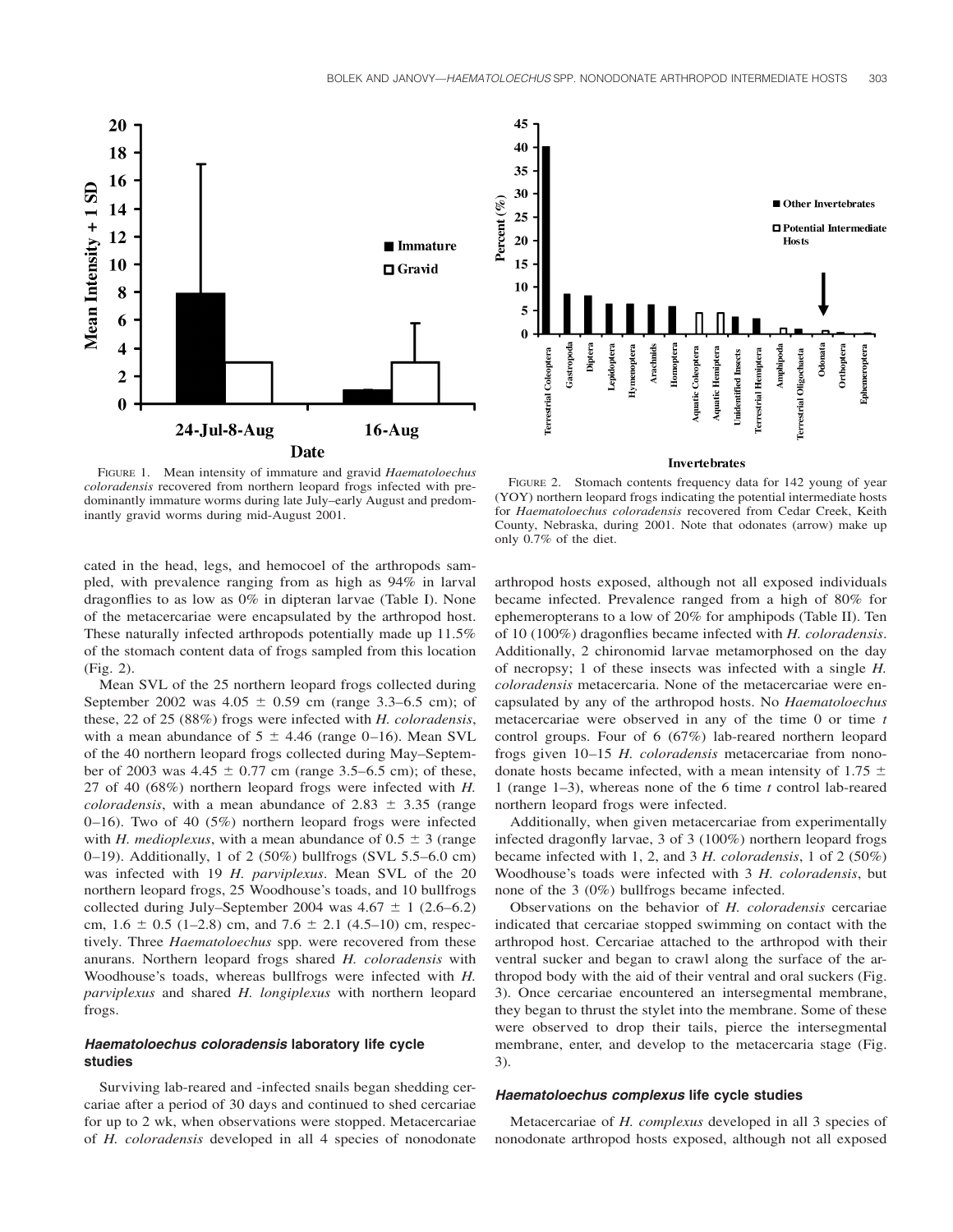

FIGURE 1. Mean intensity of immature and gravid *Haematoloechus coloradensis* recovered from northern leopard frogs infected with predominantly immature worms during late July–early August and predominantly gravid worms during mid-August 2001.

cated in the head, legs, and hemocoel of the arthropods sampled, with prevalence ranging from as high as 94% in larval dragonflies to as low as 0% in dipteran larvae (Table I). None of the metacercariae were encapsulated by the arthropod host. These naturally infected arthropods potentially made up 11.5% of the stomach content data of frogs sampled from this location (Fig. 2).

Mean SVL of the 25 northern leopard frogs collected during September 2002 was  $4.05 \pm 0.59$  cm (range 3.3–6.5 cm); of these, 22 of 25 (88%) frogs were infected with *H. coloradensis*, with a mean abundance of  $5 \pm 4.46$  (range 0–16). Mean SVL of the 40 northern leopard frogs collected during May–September of 2003 was  $4.45 \pm 0.77$  cm (range 3.5–6.5 cm); of these, 27 of 40 (68%) northern leopard frogs were infected with *H. coloradensis*, with a mean abundance of 2.83  $\pm$  3.35 (range 0–16). Two of 40 (5%) northern leopard frogs were infected with *H. medioplexus*, with a mean abundance of  $0.5 \pm 3$  (range 0–19). Additionally, 1 of 2 (50%) bullfrogs (SVL 5.5–6.0 cm) was infected with 19 *H. parviplexus*. Mean SVL of the 20 northern leopard frogs, 25 Woodhouse's toads, and 10 bullfrogs collected during July–September 2004 was  $4.67 \pm 1$  (2.6–6.2) cm,  $1.6 \pm 0.5$  (1–2.8) cm, and  $7.6 \pm 2.1$  (4.5–10) cm, respectively. Three *Haematoloechus* spp. were recovered from these anurans. Northern leopard frogs shared *H. coloradensis* with Woodhouse's toads, whereas bullfrogs were infected with *H. parviplexus* and shared *H. longiplexus* with northern leopard frogs.

# *Haematoloechus coloradensis* **laboratory life cycle studies**

Surviving lab-reared and -infected snails began shedding cercariae after a period of 30 days and continued to shed cercariae for up to 2 wk, when observations were stopped. Metacercariae of *H. coloradensis* developed in all 4 species of nonodonate



#### Invertebrates

FIGURE 2. Stomach contents frequency data for 142 young of year (YOY) northern leopard frogs indicating the potential intermediate hosts for *Haematoloechus coloradensis* recovered from Cedar Creek, Keith County, Nebraska, during 2001. Note that odonates (arrow) make up only 0.7% of the diet.

arthropod hosts exposed, although not all exposed individuals became infected. Prevalence ranged from a high of 80% for ephemeropterans to a low of 20% for amphipods (Table II). Ten of 10 (100%) dragonflies became infected with *H. coloradensis*. Additionally, 2 chironomid larvae metamorphosed on the day of necropsy; 1 of these insects was infected with a single *H. coloradensis* metacercaria. None of the metacercariae were encapsulated by any of the arthropod hosts. No *Haematoloechus* metacercariae were observed in any of the time 0 or time *t* control groups. Four of 6 (67%) lab-reared northern leopard frogs given 10–15 *H. coloradensis* metacercariae from nonodonate hosts became infected, with a mean intensity of 1.75  $\pm$ 1 (range 1–3), whereas none of the 6 time *t* control lab-reared northern leopard frogs were infected.

Additionally, when given metacercariae from experimentally infected dragonfly larvae, 3 of 3 (100%) northern leopard frogs became infected with 1, 2, and 3 *H. coloradensis*, 1 of 2 (50%) Woodhouse's toads were infected with 3 *H. coloradensis*, but none of the 3 (0%) bullfrogs became infected.

Observations on the behavior of *H. coloradensis* cercariae indicated that cercariae stopped swimming on contact with the arthropod host. Cercariae attached to the arthropod with their ventral sucker and began to crawl along the surface of the arthropod body with the aid of their ventral and oral suckers (Fig. 3). Once cercariae encountered an intersegmental membrane, they began to thrust the stylet into the membrane. Some of these were observed to drop their tails, pierce the intersegmental membrane, enter, and develop to the metacercaria stage (Fig. 3).

### *Haematoloechus complexus* **life cycle studies**

Metacercariae of *H. complexus* developed in all 3 species of nonodonate arthropod hosts exposed, although not all exposed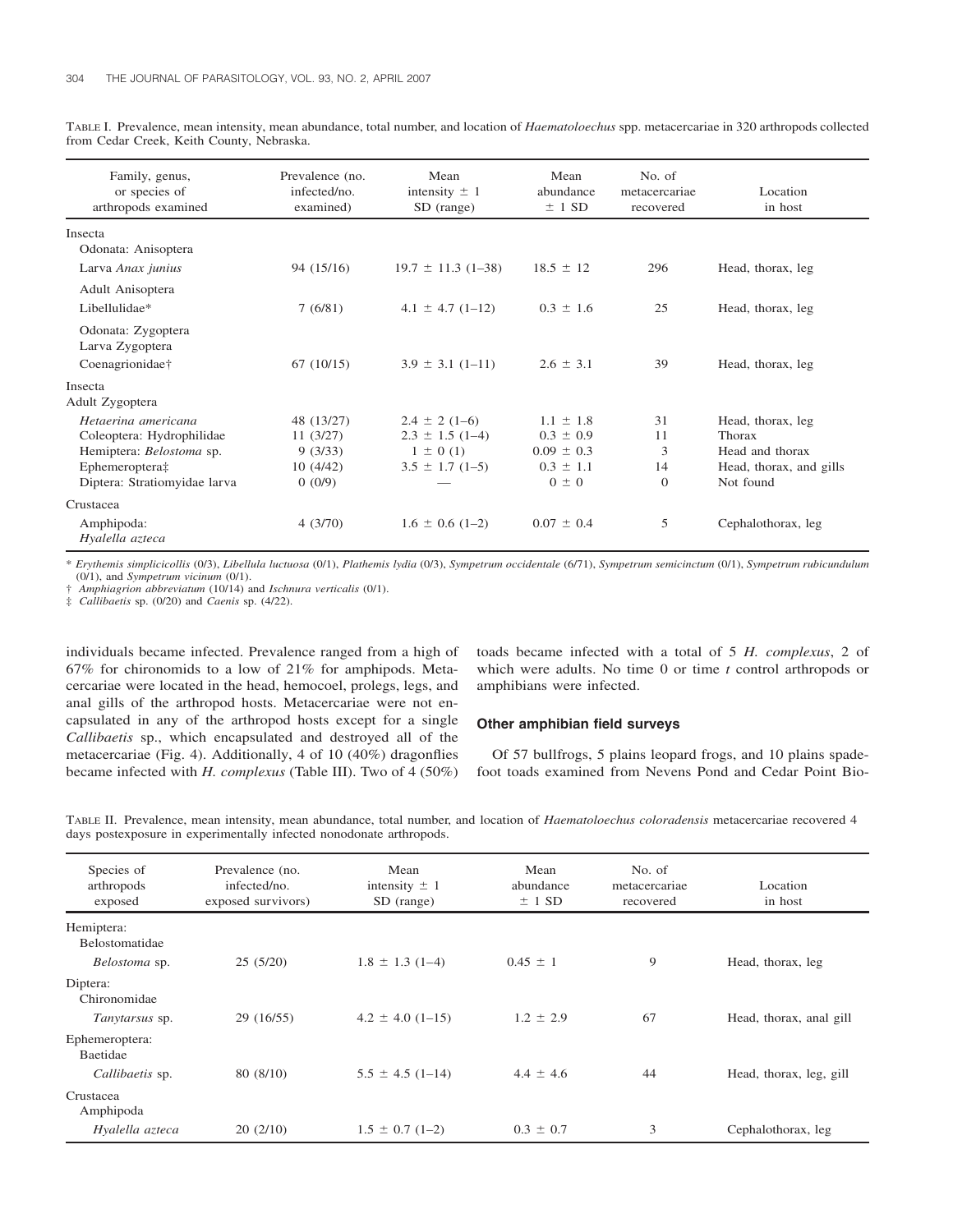| Family, genus,<br>or species of<br>arthropods examined | Prevalence (no.<br>infected/no.<br>examined) | Mean<br>intensity $\pm$ 1<br>SD (range) | Mean<br>abundance<br>± 1 SD | No. of<br>metacercariae<br>recovered | Location<br>in host     |
|--------------------------------------------------------|----------------------------------------------|-----------------------------------------|-----------------------------|--------------------------------------|-------------------------|
| Insecta                                                |                                              |                                         |                             |                                      |                         |
| Odonata: Anisoptera                                    |                                              |                                         |                             |                                      |                         |
| Larva Anax junius                                      | 94 (15/16)                                   | $19.7 \pm 11.3$ (1-38)                  | $18.5 \pm 12$               | 296                                  | Head, thorax, leg       |
| Adult Anisoptera                                       |                                              |                                         |                             |                                      |                         |
| Libellulidae*                                          | 7(6/81)                                      | $4.1 \pm 4.7$ (1-12)                    | $0.3 \pm 1.6$               | 25                                   | Head, thorax, leg       |
| Odonata: Zygoptera<br>Larva Zygoptera                  |                                              |                                         |                             |                                      |                         |
| Coenagrionidae†                                        | 67(10/15)                                    | $3.9 \pm 3.1$ (1-11)                    | $2.6 \pm 3.1$               | 39                                   | Head, thorax, leg       |
| Insecta                                                |                                              |                                         |                             |                                      |                         |
| Adult Zygoptera                                        |                                              |                                         |                             |                                      |                         |
| Hetaerina americana                                    | 48 (13/27)                                   | $2.4 \pm 2(1-6)$                        | $1.1 \pm 1.8$               | 31                                   | Head, thorax, leg       |
| Coleoptera: Hydrophilidae                              | 11(3/27)                                     | $2.3 \pm 1.5$ (1-4)                     | $0.3 \pm 0.9$               | 11                                   | Thorax                  |
| Hemiptera: <i>Belostoma</i> sp.                        | 9(3/33)                                      | $1 \pm 0$ (1)                           | $0.09 \pm 0.3$              | 3                                    | Head and thorax         |
| Ephemeroptera‡                                         | 10(4/42)                                     | $3.5 \pm 1.7(1-5)$                      | $0.3 \pm 1.1$               | 14                                   | Head, thorax, and gills |
| Diptera: Stratiomyidae larva                           | 0(0/9)                                       |                                         | $0 \pm 0$                   | $\theta$                             | Not found               |
| Crustacea                                              |                                              |                                         |                             |                                      |                         |
| Amphipoda:<br>Hyalella azteca                          | 4(3/70)                                      | $1.6 \pm 0.6$ (1-2)                     | $0.07 \pm 0.4$              | 5                                    | Cephalothorax, leg      |

TABLE I. Prevalence, mean intensity, mean abundance, total number, and location of *Haematoloechus* spp. metacercariae in 320 arthropods collected from Cedar Creek, Keith County, Nebraska.

\* *Erythemis simplicicollis* (0/3), *Libellula luctuosa* (0/1), *Plathemis lydia* (0/3), *Sympetrum occidentale* (6/71), *Sympetrum semicinctum* (0/1), *Sympetrum rubicundulum* (0/1), and *Sympetrum vicinum* (0/1).

† *Amphiagrion abbreviatum* (10/14) and *Ischnura verticalis* (0/1).

‡ *Callibaetis* sp. (0/20) and *Caenis* sp. (4/22).

individuals became infected. Prevalence ranged from a high of 67% for chironomids to a low of 21% for amphipods. Metacercariae were located in the head, hemocoel, prolegs, legs, and anal gills of the arthropod hosts. Metacercariae were not encapsulated in any of the arthropod hosts except for a single *Callibaetis* sp., which encapsulated and destroyed all of the metacercariae (Fig. 4). Additionally, 4 of 10 (40%) dragonflies became infected with *H. complexus* (Table III). Two of 4 (50%) toads became infected with a total of 5 *H. complexus*, 2 of which were adults. No time 0 or time *t* control arthropods or amphibians were infected.

### **Other amphibian field surveys**

Of 57 bullfrogs, 5 plains leopard frogs, and 10 plains spadefoot toads examined from Nevens Pond and Cedar Point Bio-

TABLE II. Prevalence, mean intensity, mean abundance, total number, and location of *Haematoloechus coloradensis* metacercariae recovered 4 days postexposure in experimentally infected nonodonate arthropods.

| Species of<br>arthropods<br>exposed | Prevalence (no.<br>infected/no.<br>exposed survivors) | Mean<br>intensity $\pm$ 1<br>SD (range) | Mean<br>abundance<br>± 1 SD | No. of<br>metacercariae<br>recovered | Location<br>in host     |
|-------------------------------------|-------------------------------------------------------|-----------------------------------------|-----------------------------|--------------------------------------|-------------------------|
| Hemiptera:<br><b>Belostomatidae</b> |                                                       |                                         |                             |                                      |                         |
| <i>Belostoma</i> sp.                | 25(5/20)                                              | $1.8 \pm 1.3$ (1-4)                     | $0.45 \pm 1$                | 9                                    | Head, thorax, leg       |
| Diptera:<br>Chironomidae            |                                                       |                                         |                             |                                      |                         |
| <i>Tanytarsus</i> sp.               | 29 (16/55)                                            | $4.2 \pm 4.0$ (1-15)                    | $1.2 \pm 2.9$               | 67                                   | Head, thorax, anal gill |
| Ephemeroptera:<br>Baetidae          |                                                       |                                         |                             |                                      |                         |
| Callibaetis sp.                     | 80(8/10)                                              | $5.5 \pm 4.5$ (1-14)                    | $4.4 \pm 4.6$               | 44                                   | Head, thorax, leg, gill |
| Crustacea<br>Amphipoda              |                                                       |                                         |                             |                                      |                         |
| Hyalella azteca                     | 20(2/10)                                              | $1.5 \pm 0.7$ (1-2)                     | $0.3 \pm 0.7$               | 3                                    | Cephalothorax, leg      |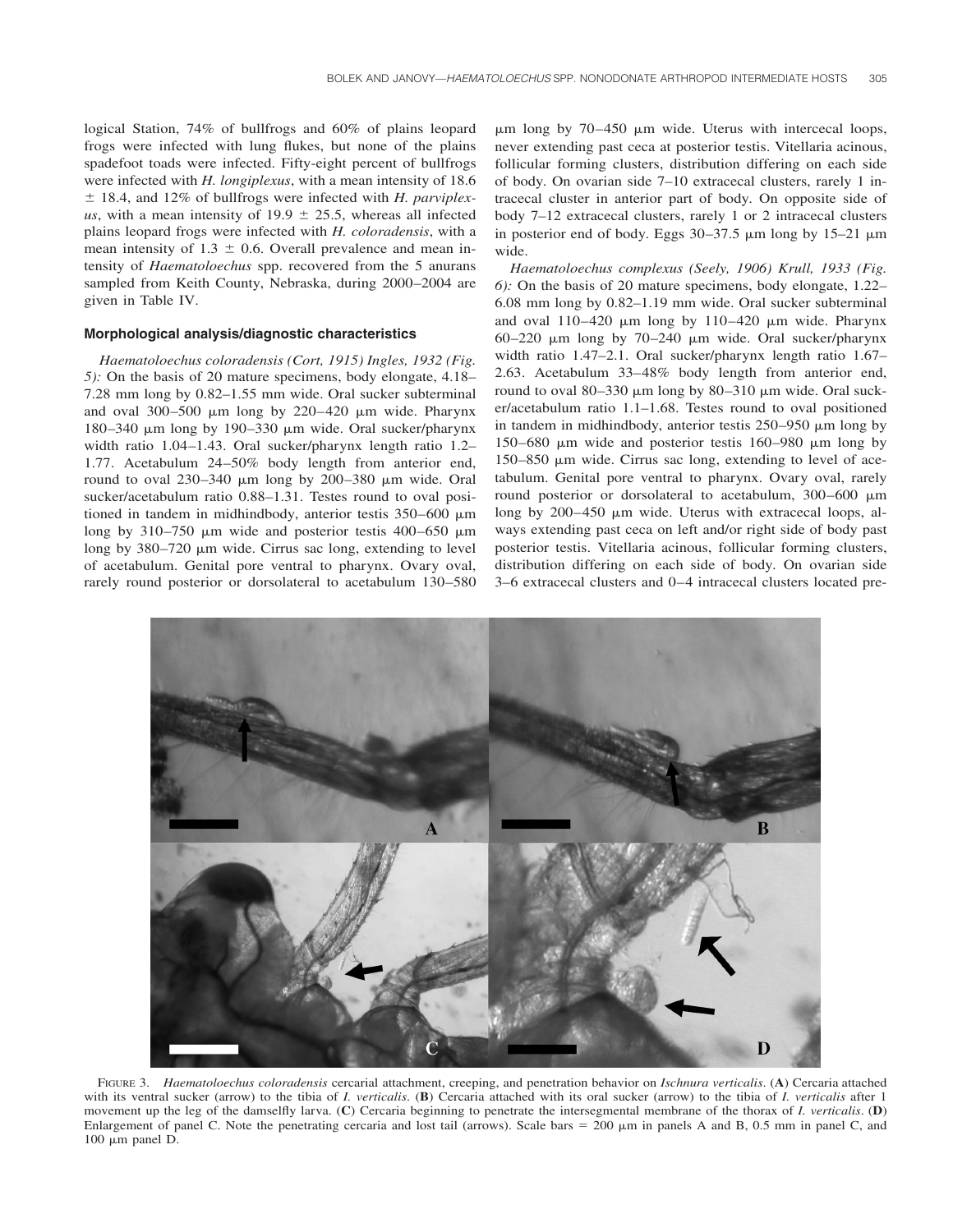logical Station, 74% of bullfrogs and 60% of plains leopard frogs were infected with lung flukes, but none of the plains spadefoot toads were infected. Fifty-eight percent of bullfrogs were infected with *H. longiplexus*, with a mean intensity of 18.6 18.4, and 12% of bullfrogs were infected with *H. parviplexus*, with a mean intensity of 19.9  $\pm$  25.5, whereas all infected plains leopard frogs were infected with *H. coloradensis*, with a mean intensity of 1.3  $\pm$  0.6. Overall prevalence and mean intensity of *Haematoloechus* spp. recovered from the 5 anurans sampled from Keith County, Nebraska, during 2000–2004 are given in Table IV.

### **Morphological analysis/diagnostic characteristics**

*Haematoloechus coloradensis (Cort, 1915) Ingles, 1932 (Fig. 5):* On the basis of 20 mature specimens, body elongate, 4.18– 7.28 mm long by 0.82–1.55 mm wide. Oral sucker subterminal and oval 300-500  $\mu$ m long by 220-420  $\mu$ m wide. Pharynx 180–340 m long by 190–330 m wide. Oral sucker/pharynx width ratio 1.04–1.43. Oral sucker/pharynx length ratio 1.2– 1.77. Acetabulum 24–50% body length from anterior end, round to oval  $230-340$  µm long by  $200-380$  µm wide. Oral sucker/acetabulum ratio 0.88–1.31. Testes round to oval positioned in tandem in midhindbody, anterior testis 350-600  $\mu$ m long by 310–750  $\mu$ m wide and posterior testis 400–650  $\mu$ m long by 380–720 μm wide. Cirrus sac long, extending to level of acetabulum. Genital pore ventral to pharynx. Ovary oval, rarely round posterior or dorsolateral to acetabulum 130–580

 $\mu$ m long by 70–450  $\mu$ m wide. Uterus with intercecal loops, never extending past ceca at posterior testis. Vitellaria acinous, follicular forming clusters, distribution differing on each side of body. On ovarian side 7–10 extracecal clusters, rarely 1 intracecal cluster in anterior part of body. On opposite side of body 7–12 extracecal clusters, rarely 1 or 2 intracecal clusters in posterior end of body. Eggs  $30-37.5 \mu m$  long by  $15-21 \mu m$ wide.

*Haematoloechus complexus (Seely, 1906) Krull, 1933 (Fig. 6):* On the basis of 20 mature specimens, body elongate, 1.22– 6.08 mm long by 0.82–1.19 mm wide. Oral sucker subterminal and oval  $110-420 \mu m$  long by  $110-420 \mu m$  wide. Pharynx  $60-220$  µm long by  $70-240$  µm wide. Oral sucker/pharynx width ratio 1.47–2.1. Oral sucker/pharynx length ratio 1.67– 2.63. Acetabulum 33–48% body length from anterior end, round to oval  $80-330 \mu m$  long by  $80-310 \mu m$  wide. Oral sucker/acetabulum ratio 1.1–1.68. Testes round to oval positioned in tandem in midhindbody, anterior testis  $250-950 \mu m$  long by 150–680  $\mu$ m wide and posterior testis 160–980  $\mu$ m long by  $150-850$  µm wide. Cirrus sac long, extending to level of acetabulum. Genital pore ventral to pharynx. Ovary oval, rarely round posterior or dorsolateral to acetabulum,  $300-600 \mu m$ long by  $200-450 \mu m$  wide. Uterus with extracecal loops, always extending past ceca on left and/or right side of body past posterior testis. Vitellaria acinous, follicular forming clusters, distribution differing on each side of body. On ovarian side 3–6 extracecal clusters and 0–4 intracecal clusters located pre-



FIGURE 3. *Haematoloechus coloradensis* cercarial attachment, creeping, and penetration behavior on *Ischnura verticalis*. (**A**) Cercaria attached with its ventral sucker (arrow) to the tibia of *I. verticalis*. (**B**) Cercaria attached with its oral sucker (arrow) to the tibia of *I. verticalis* after 1 movement up the leg of the damselfly larva. (**C**) Cercaria beginning to penetrate the intersegmental membrane of the thorax of *I. verticalis*. (**D**) Enlargement of panel C. Note the penetrating cercaria and lost tail (arrows). Scale bars  $= 200 \mu m$  in panels A and B, 0.5 mm in panel C, and 100  $\mu$ m panel D.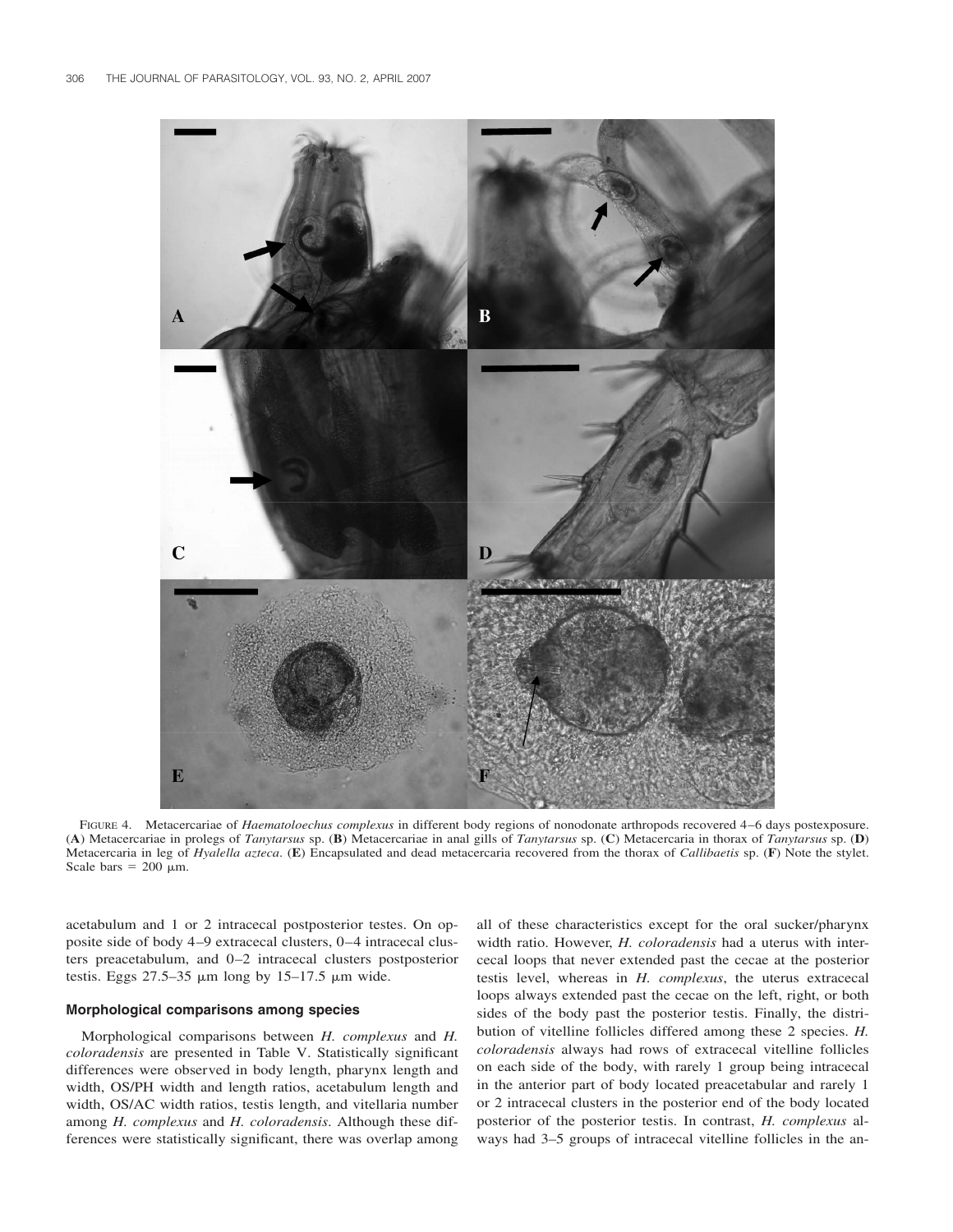

FIGURE 4. Metacercariae of *Haematoloechus complexus* in different body regions of nonodonate arthropods recovered 4–6 days postexposure. (**A**) Metacercariae in prolegs of *Tanytarsus* sp. (**B**) Metacercariae in anal gills of *Tanytarsus* sp. (**C**) Metacercaria in thorax of *Tanytarsus* sp. (**D**) Metacercaria in leg of *Hyalella azteca*. (**E**) Encapsulated and dead metacercaria recovered from the thorax of *Callibaetis* sp. (**F**) Note the stylet. Scale bars  $= 200 \mu m$ .

acetabulum and 1 or 2 intracecal postposterior testes. On opposite side of body 4–9 extracecal clusters, 0–4 intracecal clusters preacetabulum, and 0–2 intracecal clusters postposterior testis. Eggs  $27.5-35 \mu m$  long by 15-17.5  $\mu m$  wide.

### **Morphological comparisons among species**

Morphological comparisons between *H. complexus* and *H. coloradensis* are presented in Table V. Statistically significant differences were observed in body length, pharynx length and width, OS/PH width and length ratios, acetabulum length and width, OS/AC width ratios, testis length, and vitellaria number among *H. complexus* and *H. coloradensis*. Although these differences were statistically significant, there was overlap among all of these characteristics except for the oral sucker/pharynx width ratio. However, *H. coloradensis* had a uterus with intercecal loops that never extended past the cecae at the posterior testis level, whereas in *H. complexus*, the uterus extracecal loops always extended past the cecae on the left, right, or both sides of the body past the posterior testis. Finally, the distribution of vitelline follicles differed among these 2 species. *H. coloradensis* always had rows of extracecal vitelline follicles on each side of the body, with rarely 1 group being intracecal in the anterior part of body located preacetabular and rarely 1 or 2 intracecal clusters in the posterior end of the body located posterior of the posterior testis. In contrast, *H. complexus* always had 3–5 groups of intracecal vitelline follicles in the an-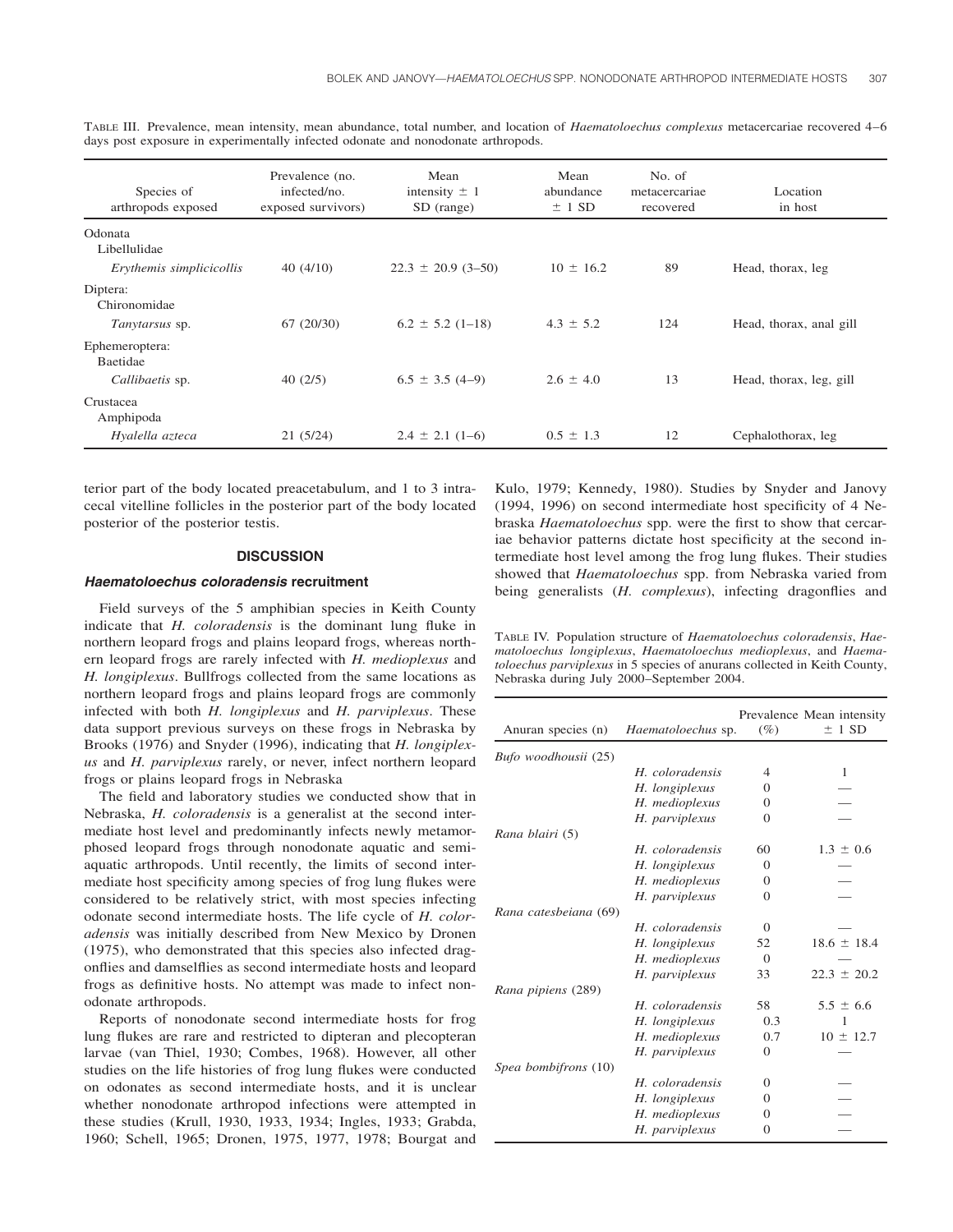| Species of<br>arthropods exposed  | Prevalence (no.<br>infected/no.<br>exposed survivors) | Mean<br>intensity $\pm$ 1<br>SD (range) | Mean<br>abundance<br>± 1 SD | No. of<br>metacercariae<br>recovered | Location<br>in host     |
|-----------------------------------|-------------------------------------------------------|-----------------------------------------|-----------------------------|--------------------------------------|-------------------------|
| Odonata<br>Libellulidae           |                                                       |                                         |                             |                                      |                         |
| Erythemis simplicicollis          | 40(4/10)                                              | $22.3 \pm 20.9$ (3-50)                  | $10 \pm 16.2$               | 89                                   | Head, thorax, leg       |
| Diptera:<br>Chironomidae          |                                                       |                                         |                             |                                      |                         |
| Tanytarsus sp.                    | 67(20/30)                                             | $6.2 \pm 5.2$ (1-18)                    | $4.3 \pm 5.2$               | 124                                  | Head, thorax, anal gill |
| Ephemeroptera:<br><b>Baetidae</b> |                                                       |                                         |                             |                                      |                         |
| Callibaetis sp.                   | 40(2/5)                                               | $6.5 \pm 3.5(4-9)$                      | $2.6 \pm 4.0$               | 13                                   | Head, thorax, leg, gill |
| Crustacea<br>Amphipoda            |                                                       |                                         |                             |                                      |                         |
| Hyalella azteca                   | 21(5/24)                                              | $2.4 \pm 2.1$ (1-6)                     | $0.5 \pm 1.3$               | 12                                   | Cephalothorax, leg      |

TABLE III. Prevalence, mean intensity, mean abundance, total number, and location of *Haematoloechus complexus* metacercariae recovered 4–6 days post exposure in experimentally infected odonate and nonodonate arthropods.

terior part of the body located preacetabulum, and 1 to 3 intracecal vitelline follicles in the posterior part of the body located posterior of the posterior testis.

### **DISCUSSION**

#### *Haematoloechus coloradensis* **recruitment**

Field surveys of the 5 amphibian species in Keith County indicate that *H. coloradensis* is the dominant lung fluke in northern leopard frogs and plains leopard frogs, whereas northern leopard frogs are rarely infected with *H. medioplexus* and *H. longiplexus*. Bullfrogs collected from the same locations as northern leopard frogs and plains leopard frogs are commonly infected with both *H. longiplexus* and *H. parviplexus*. These data support previous surveys on these frogs in Nebraska by Brooks (1976) and Snyder (1996), indicating that *H. longiplexus* and *H. parviplexus* rarely, or never, infect northern leopard frogs or plains leopard frogs in Nebraska

The field and laboratory studies we conducted show that in Nebraska, *H. coloradensis* is a generalist at the second intermediate host level and predominantly infects newly metamorphosed leopard frogs through nonodonate aquatic and semiaquatic arthropods. Until recently, the limits of second intermediate host specificity among species of frog lung flukes were considered to be relatively strict, with most species infecting odonate second intermediate hosts. The life cycle of *H. coloradensis* was initially described from New Mexico by Dronen (1975), who demonstrated that this species also infected dragonflies and damselflies as second intermediate hosts and leopard frogs as definitive hosts. No attempt was made to infect nonodonate arthropods.

Reports of nonodonate second intermediate hosts for frog lung flukes are rare and restricted to dipteran and plecopteran larvae (van Thiel, 1930; Combes, 1968). However, all other studies on the life histories of frog lung flukes were conducted on odonates as second intermediate hosts, and it is unclear whether nonodonate arthropod infections were attempted in these studies (Krull, 1930, 1933, 1934; Ingles, 1933; Grabda, 1960; Schell, 1965; Dronen, 1975, 1977, 1978; Bourgat and

Kulo, 1979; Kennedy, 1980). Studies by Snyder and Janovy (1994, 1996) on second intermediate host specificity of 4 Nebraska *Haematoloechus* spp. were the first to show that cercariae behavior patterns dictate host specificity at the second intermediate host level among the frog lung flukes. Their studies showed that *Haematoloechus* spp. from Nebraska varied from being generalists (*H. complexus*), infecting dragonflies and

TABLE IV. Population structure of *Haematoloechus coloradensis*, *Haematoloechus longiplexus*, *Haematoloechus medioplexus*, and *Haematoloechus parviplexus* in 5 species of anurans collected in Keith County, Nebraska during July 2000–September 2004.

| Anuran species (n)    | Haematoloechus sp. | $(\%)$         | Prevalence Mean intensity<br>± 1 SD |
|-----------------------|--------------------|----------------|-------------------------------------|
| Bufo woodhousii (25)  |                    |                |                                     |
|                       | H. coloradensis    | 4              | 1                                   |
|                       | H. longiplexus     | $\Omega$       |                                     |
|                       | H. medioplexus     | $\Omega$       |                                     |
|                       | H. parviplexus     | $\Omega$       |                                     |
| Rana blairi (5)       |                    |                |                                     |
|                       | H. coloradensis    | 60             | $1.3 \pm 0.6$                       |
|                       | H. longiplexus     | $\Omega$       |                                     |
|                       | H. medioplexus     | $\Omega$       |                                     |
|                       | H. parviplexus     | $\Omega$       |                                     |
| Rana catesbeiana (69) |                    |                |                                     |
|                       | H. coloradensis    | $\Omega$       |                                     |
|                       | H. longiplexus     | 52             | $18.6 \pm 18.4$                     |
|                       | H. medioplexus     | $\Omega$       |                                     |
|                       | H. parviplexus     | 33             | $22.3 \pm 20.2$                     |
| Rana pipiens (289)    |                    |                |                                     |
|                       | H. coloradensis    | 58             | $5.5 \pm 6.6$                       |
|                       | H. longiplexus     | 0.3            | 1                                   |
|                       | H. medioplexus     | 0.7            | $10 \pm 12.7$                       |
|                       | H. parviplexus     | $\overline{0}$ |                                     |
| Spea bombifrons (10)  |                    |                |                                     |
|                       | H. coloradensis    | $\Omega$       |                                     |
|                       | H. longiplexus     | $\Omega$       |                                     |
|                       | H. medioplexus     | $\Omega$       |                                     |
|                       | H. parviplexus     | 0              |                                     |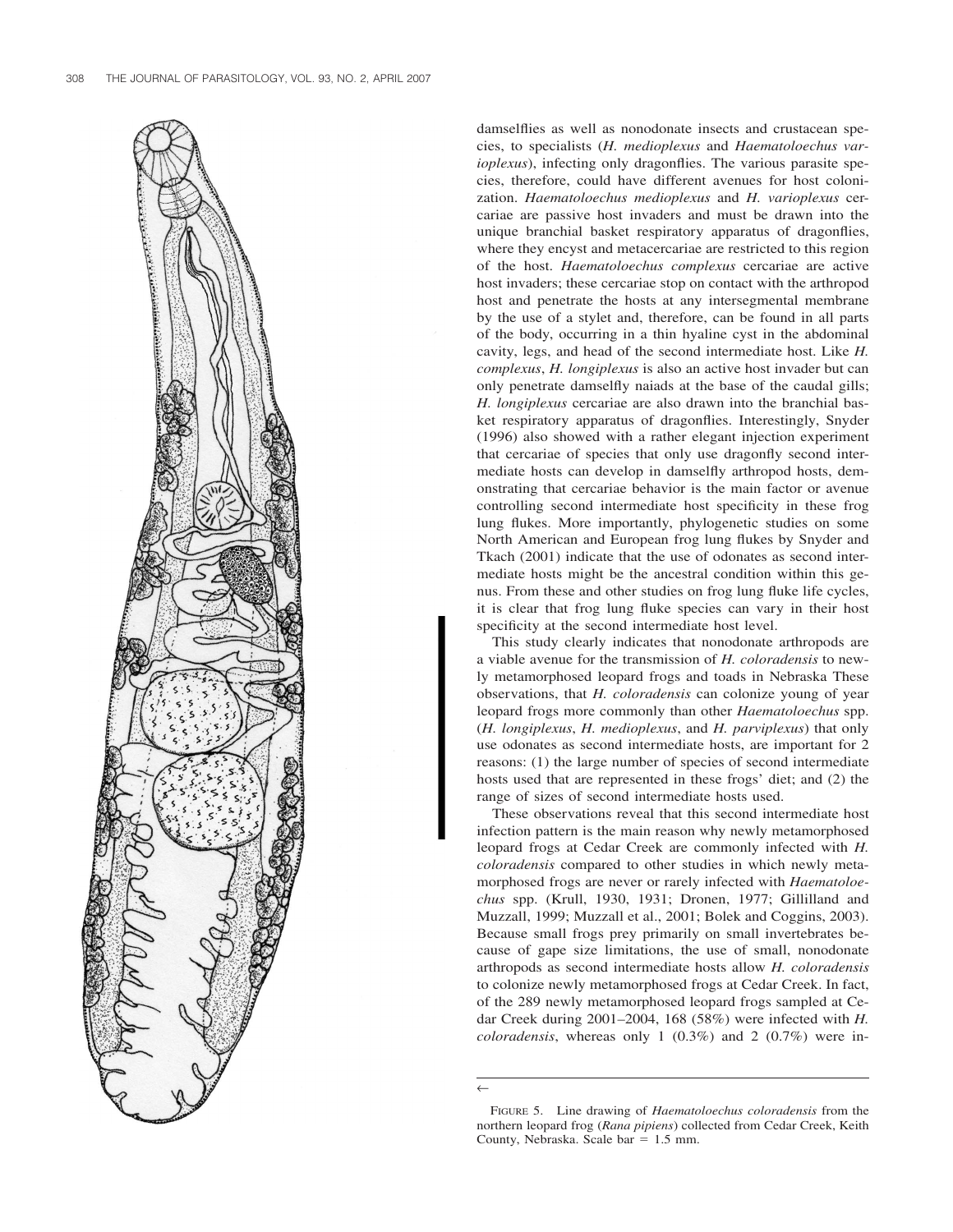

damselflies as well as nonodonate insects and crustacean species, to specialists (*H. medioplexus* and *Haematoloechus varioplexus*), infecting only dragonflies. The various parasite species, therefore, could have different avenues for host colonization. *Haematoloechus medioplexus* and *H. varioplexus* cercariae are passive host invaders and must be drawn into the unique branchial basket respiratory apparatus of dragonflies, where they encyst and metacercariae are restricted to this region of the host. *Haematoloechus complexus* cercariae are active host invaders; these cercariae stop on contact with the arthropod host and penetrate the hosts at any intersegmental membrane by the use of a stylet and, therefore, can be found in all parts of the body, occurring in a thin hyaline cyst in the abdominal cavity, legs, and head of the second intermediate host. Like *H. complexus*, *H. longiplexus* is also an active host invader but can only penetrate damselfly naiads at the base of the caudal gills; *H. longiplexus* cercariae are also drawn into the branchial basket respiratory apparatus of dragonflies. Interestingly, Snyder (1996) also showed with a rather elegant injection experiment that cercariae of species that only use dragonfly second intermediate hosts can develop in damselfly arthropod hosts, demonstrating that cercariae behavior is the main factor or avenue controlling second intermediate host specificity in these frog lung flukes. More importantly, phylogenetic studies on some North American and European frog lung flukes by Snyder and Tkach (2001) indicate that the use of odonates as second intermediate hosts might be the ancestral condition within this genus. From these and other studies on frog lung fluke life cycles, it is clear that frog lung fluke species can vary in their host specificity at the second intermediate host level.

This study clearly indicates that nonodonate arthropods are a viable avenue for the transmission of *H. coloradensis* to newly metamorphosed leopard frogs and toads in Nebraska These observations, that *H. coloradensis* can colonize young of year leopard frogs more commonly than other *Haematoloechus* spp. (*H. longiplexus*, *H. medioplexus*, and *H. parviplexus*) that only use odonates as second intermediate hosts, are important for 2 reasons: (1) the large number of species of second intermediate hosts used that are represented in these frogs' diet; and (2) the range of sizes of second intermediate hosts used.

These observations reveal that this second intermediate host infection pattern is the main reason why newly metamorphosed leopard frogs at Cedar Creek are commonly infected with *H. coloradensis* compared to other studies in which newly metamorphosed frogs are never or rarely infected with *Haematoloechus* spp. (Krull, 1930, 1931; Dronen, 1977; Gillilland and Muzzall, 1999; Muzzall et al., 2001; Bolek and Coggins, 2003). Because small frogs prey primarily on small invertebrates because of gape size limitations, the use of small, nonodonate arthropods as second intermediate hosts allow *H. coloradensis* to colonize newly metamorphosed frogs at Cedar Creek. In fact, of the 289 newly metamorphosed leopard frogs sampled at Cedar Creek during 2001–2004, 168 (58%) were infected with *H. coloradensis*, whereas only 1 (0.3%) and 2 (0.7%) were in-

←

FIGURE 5. Line drawing of *Haematoloechus coloradensis* from the northern leopard frog (*Rana pipiens*) collected from Cedar Creek, Keith County, Nebraska. Scale bar  $= 1.5$  mm.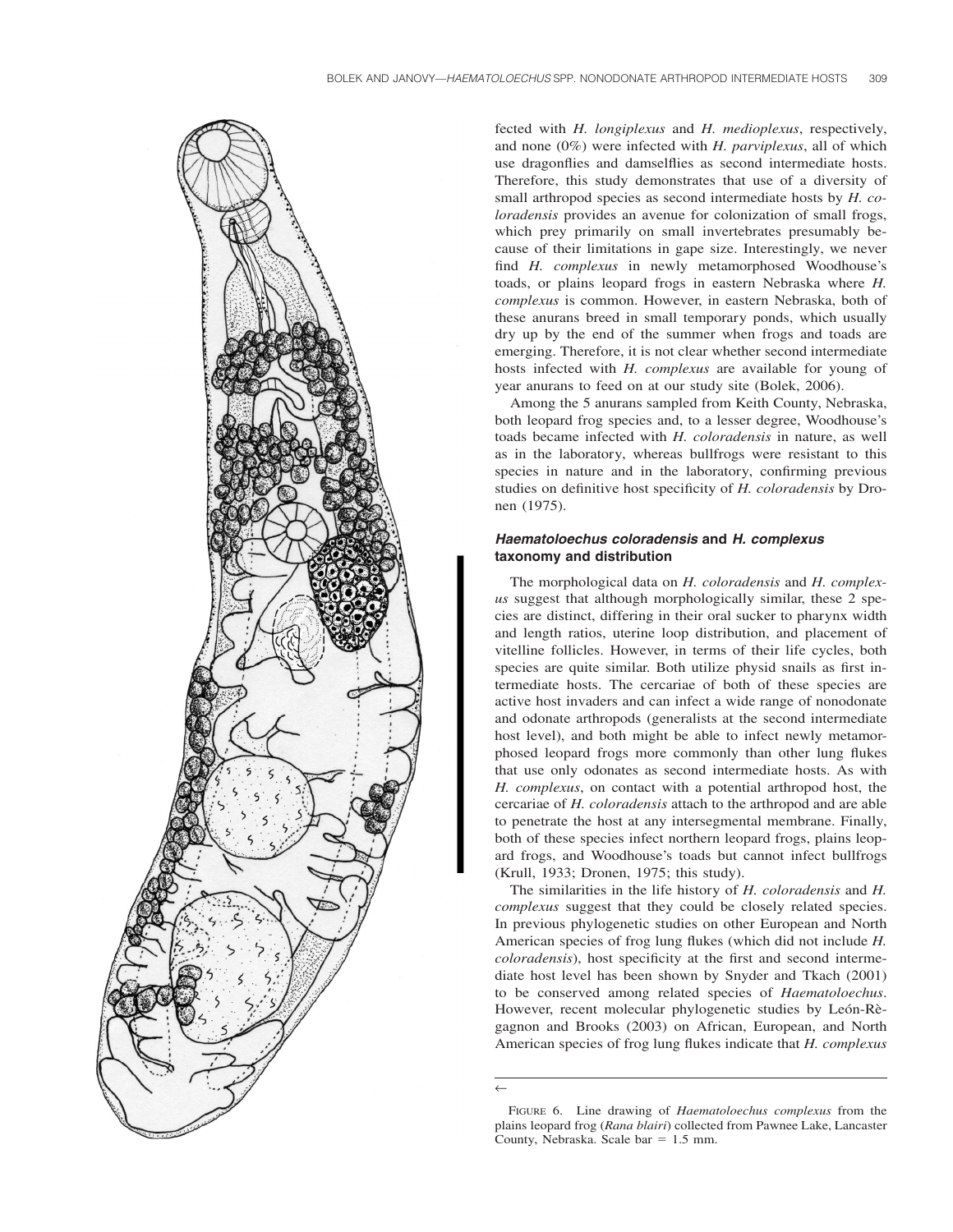

fected with *H. longiplexus* and *H. medioplexus*, respectively, and none (0%) were infected with *H. parviplexus*, all of which use dragonflies and damselflies as second intermediate hosts. Therefore, this study demonstrates that use of a diversity of small arthropod species as second intermediate hosts by *H. coloradensis* provides an avenue for colonization of small frogs, which prey primarily on small invertebrates presumably because of their limitations in gape size. Interestingly, we never find *H. complexus* in newly metamorphosed Woodhouse's toads, or plains leopard frogs in eastern Nebraska where *H. complexus* is common. However, in eastern Nebraska, both of these anurans breed in small temporary ponds, which usually dry up by the end of the summer when frogs and toads are emerging. Therefore, it is not clear whether second intermediate hosts infected with *H. complexus* are available for young of year anurans to feed on at our study site (Bolek, 2006).

Among the 5 anurans sampled from Keith County, Nebraska, both leopard frog species and, to a lesser degree, Woodhouse's toads became infected with *H. coloradensis* in nature, as well as in the laboratory, whereas bullfrogs were resistant to this species in nature and in the laboratory, confirming previous studies on definitive host specificity of *H. coloradensis* by Dronen (1975).

# *Haematoloechus coloradensis* **and** *H. complexus* **taxonomy and distribution**

The morphological data on *H. coloradensis* and *H. complexus* suggest that although morphologically similar, these 2 species are distinct, differing in their oral sucker to pharynx width and length ratios, uterine loop distribution, and placement of vitelline follicles. However, in terms of their life cycles, both species are quite similar. Both utilize physid snails as first intermediate hosts. The cercariae of both of these species are active host invaders and can infect a wide range of nonodonate and odonate arthropods (generalists at the second intermediate host level), and both might be able to infect newly metamorphosed leopard frogs more commonly than other lung flukes that use only odonates as second intermediate hosts. As with *H. complexus*, on contact with a potential arthropod host, the cercariae of *H. coloradensis* attach to the arthropod and are able to penetrate the host at any intersegmental membrane. Finally, both of these species infect northern leopard frogs, plains leopard frogs, and Woodhouse's toads but cannot infect bullfrogs (Krull, 1933; Dronen, 1975; this study).

The similarities in the life history of *H. coloradensis* and *H. complexus* suggest that they could be closely related species. In previous phylogenetic studies on other European and North American species of frog lung flukes (which did not include *H. coloradensis*), host specificity at the first and second intermediate host level has been shown by Snyder and Tkach (2001) to be conserved among related species of *Haematoloechus*. However, recent molecular phylogenetic studies by León-Règagnon and Brooks (2003) on African, European, and North American species of frog lung flukes indicate that *H. complexus*

 $\leftarrow$ 

FIGURE 6. Line drawing of *Haematoloechus complexus* from the plains leopard frog (*Rana blairi*) collected from Pawnee Lake, Lancaster County, Nebraska. Scale bar  $= 1.5$  mm.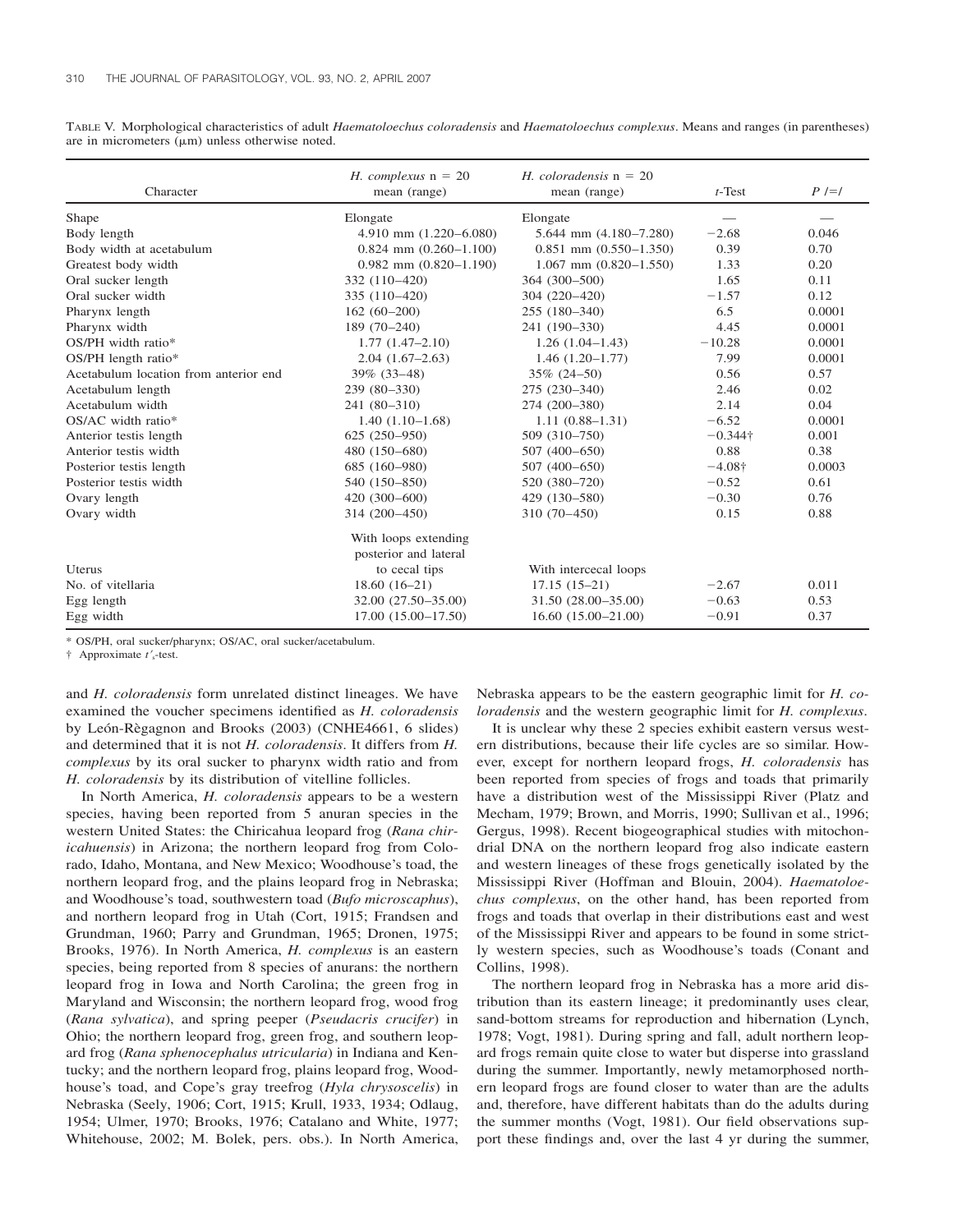| Character                             | H. complexus $n = 20$<br>mean (range)         | H. coloradensis $n = 20$<br>mean (range) | $t$ -Test       | $P$ /=/ |
|---------------------------------------|-----------------------------------------------|------------------------------------------|-----------------|---------|
| Shape                                 | Elongate                                      | Elongate                                 |                 |         |
| Body length                           | $4.910$ mm $(1.220 - 6.080)$                  | $5.644$ mm $(4.180 - 7.280)$             | $-2.68$         | 0.046   |
| Body width at acetabulum              | $0.824$ mm $(0.260 - 1.100)$                  | $0.851$ mm $(0.550-1.350)$               | 0.39            | 0.70    |
| Greatest body width                   | $0.982$ mm $(0.820 - 1.190)$                  | $1.067$ mm $(0.820-1.550)$               | 1.33            | 0.20    |
| Oral sucker length                    | 332 (110-420)                                 | 364 (300-500)                            | 1.65            | 0.11    |
| Oral sucker width                     | 335 (110-420)                                 | $304(220 - 420)$                         | $-1.57$         | 0.12    |
| Pharynx length                        | $162(60-200)$                                 | $255(180-340)$                           | 6.5             | 0.0001  |
| Pharynx width                         | $189(70-240)$                                 | 241 (190-330)                            | 4.45            | 0.0001  |
| OS/PH width ratio*                    | $1.77(1.47 - 2.10)$                           | $1.26(1.04-1.43)$                        | $-10.28$        | 0.0001  |
| OS/PH length ratio*                   | $2.04(1.67-2.63)$                             | $1.46(1.20-1.77)$                        | 7.99            | 0.0001  |
| Acetabulum location from anterior end | 39% (33-48)                                   | $35\%$ $(24-50)$                         | 0.56            | 0.57    |
| Acetabulum length                     | $239(80-330)$                                 | 275 (230-340)                            | 2.46            | 0.02    |
| Acetabulum width                      | $241(80-310)$                                 | 274 (200-380)                            | 2.14            | 0.04    |
| OS/AC width ratio*                    | $1.40(1.10-1.68)$                             | $1.11(0.88 - 1.31)$                      | $-6.52$         | 0.0001  |
| Anterior testis length                | $625(250-950)$                                | 509 (310-750)                            | $-0.344\dagger$ | 0.001   |
| Anterior testis width                 | 480 (150-680)                                 | $507(400 - 650)$                         | 0.88            | 0.38    |
| Posterior testis length               | 685 (160-980)                                 | $507(400 - 650)$                         | $-4.08\dagger$  | 0.0003  |
| Posterior testis width                | 540 (150-850)                                 | 520 (380-720)                            | $-0.52$         | 0.61    |
| Ovary length                          | $420(300-600)$                                | 429 (130-580)                            | $-0.30$         | 0.76    |
| Ovary width                           | 314 (200-450)                                 | $310(70 - 450)$                          | 0.15            | 0.88    |
|                                       | With loops extending<br>posterior and lateral |                                          |                 |         |
| Uterus                                | to cecal tips                                 | With intercecal loops                    |                 |         |
| No. of vitellaria                     | $18.60(16-21)$                                | $17.15(15-21)$                           | $-2.67$         | 0.011   |
| Egg length                            | 32.00 (27.50-35.00)                           | 31.50 (28.00-35.00)                      | $-0.63$         | 0.53    |
| Egg width                             | $17.00(15.00 - 17.50)$                        | $16.60(15.00-21.00)$                     | $-0.91$         | 0.37    |

TABLE V. Morphological characteristics of adult *Haematoloechus coloradensis* and *Haematoloechus complexus*. Means and ranges (in parentheses) are in micrometers  $(\mu m)$  unless otherwise noted.

\* OS/PH, oral sucker/pharynx; OS/AC, oral sucker/acetabulum.

<sup>†</sup> Approximate *t'*-test.

and *H. coloradensis* form unrelated distinct lineages. We have examined the voucher specimens identified as *H. coloradensis* by León-Règagnon and Brooks (2003) (CNHE4661, 6 slides) and determined that it is not *H. coloradensis*. It differs from *H. complexus* by its oral sucker to pharynx width ratio and from *H. coloradensis* by its distribution of vitelline follicles.

In North America, *H. coloradensis* appears to be a western species, having been reported from 5 anuran species in the western United States: the Chiricahua leopard frog (*Rana chiricahuensis*) in Arizona; the northern leopard frog from Colorado, Idaho, Montana, and New Mexico; Woodhouse's toad, the northern leopard frog, and the plains leopard frog in Nebraska; and Woodhouse's toad, southwestern toad (*Bufo microscaphus*), and northern leopard frog in Utah (Cort, 1915; Frandsen and Grundman, 1960; Parry and Grundman, 1965; Dronen, 1975; Brooks, 1976). In North America, *H. complexus* is an eastern species, being reported from 8 species of anurans: the northern leopard frog in Iowa and North Carolina; the green frog in Maryland and Wisconsin; the northern leopard frog, wood frog (*Rana sylvatica*), and spring peeper (*Pseudacris crucifer*) in Ohio; the northern leopard frog, green frog, and southern leopard frog (*Rana sphenocephalus utricularia*) in Indiana and Kentucky; and the northern leopard frog, plains leopard frog, Woodhouse's toad, and Cope's gray treefrog (*Hyla chrysoscelis*) in Nebraska (Seely, 1906; Cort, 1915; Krull, 1933, 1934; Odlaug, 1954; Ulmer, 1970; Brooks, 1976; Catalano and White, 1977; Whitehouse, 2002; M. Bolek, pers. obs.). In North America,

Nebraska appears to be the eastern geographic limit for *H. coloradensis* and the western geographic limit for *H. complexus*.

It is unclear why these 2 species exhibit eastern versus western distributions, because their life cycles are so similar. However, except for northern leopard frogs, *H. coloradensis* has been reported from species of frogs and toads that primarily have a distribution west of the Mississippi River (Platz and Mecham, 1979; Brown, and Morris, 1990; Sullivan et al., 1996; Gergus, 1998). Recent biogeographical studies with mitochondrial DNA on the northern leopard frog also indicate eastern and western lineages of these frogs genetically isolated by the Mississippi River (Hoffman and Blouin, 2004). *Haematoloechus complexus*, on the other hand, has been reported from frogs and toads that overlap in their distributions east and west of the Mississippi River and appears to be found in some strictly western species, such as Woodhouse's toads (Conant and Collins, 1998).

The northern leopard frog in Nebraska has a more arid distribution than its eastern lineage; it predominantly uses clear, sand-bottom streams for reproduction and hibernation (Lynch, 1978; Vogt, 1981). During spring and fall, adult northern leopard frogs remain quite close to water but disperse into grassland during the summer. Importantly, newly metamorphosed northern leopard frogs are found closer to water than are the adults and, therefore, have different habitats than do the adults during the summer months (Vogt, 1981). Our field observations support these findings and, over the last 4 yr during the summer,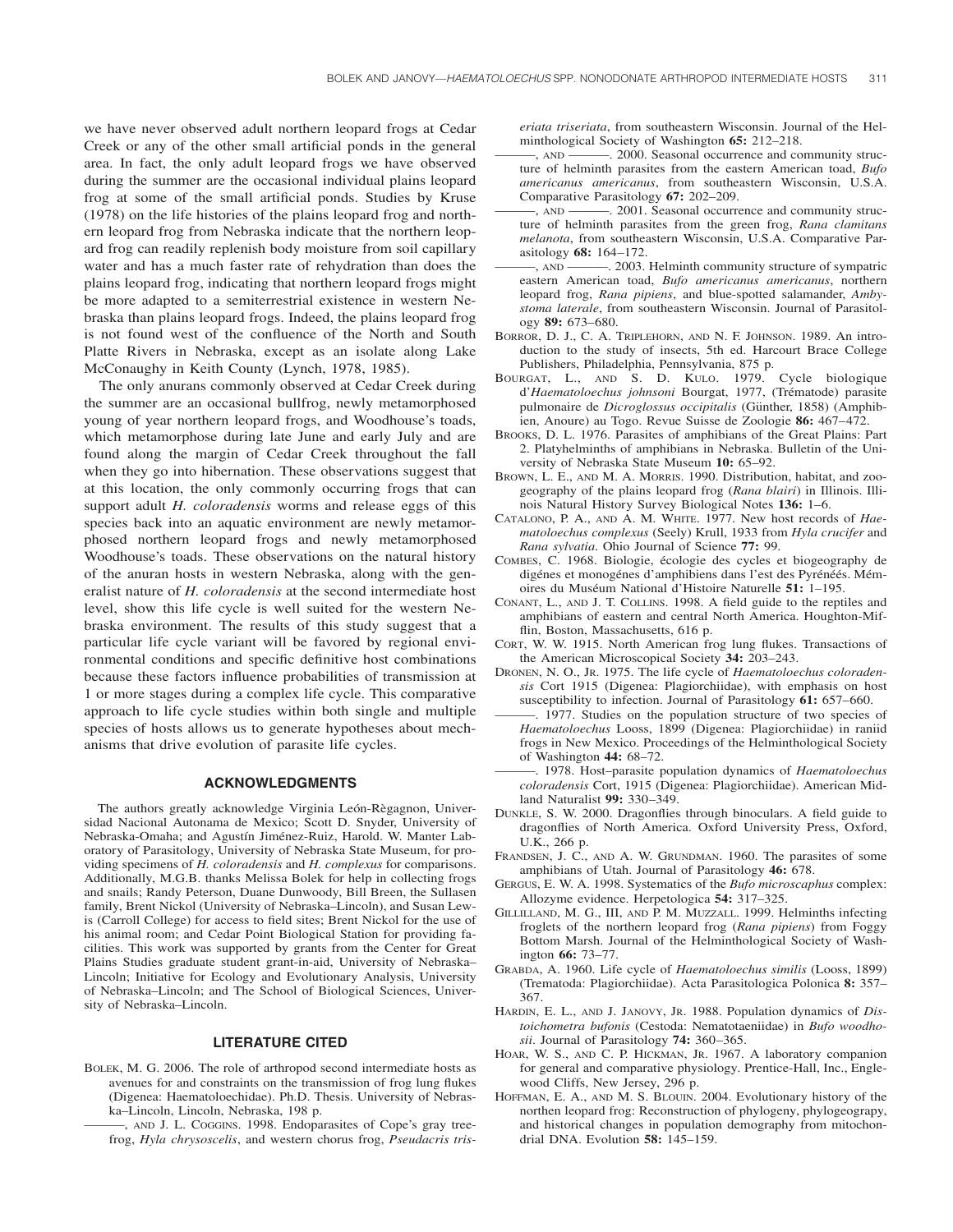we have never observed adult northern leopard frogs at Cedar Creek or any of the other small artificial ponds in the general area. In fact, the only adult leopard frogs we have observed during the summer are the occasional individual plains leopard frog at some of the small artificial ponds. Studies by Kruse (1978) on the life histories of the plains leopard frog and northern leopard frog from Nebraska indicate that the northern leopard frog can readily replenish body moisture from soil capillary water and has a much faster rate of rehydration than does the plains leopard frog, indicating that northern leopard frogs might be more adapted to a semiterrestrial existence in western Nebraska than plains leopard frogs. Indeed, the plains leopard frog is not found west of the confluence of the North and South Platte Rivers in Nebraska, except as an isolate along Lake McConaughy in Keith County (Lynch, 1978, 1985).

The only anurans commonly observed at Cedar Creek during the summer are an occasional bullfrog, newly metamorphosed young of year northern leopard frogs, and Woodhouse's toads, which metamorphose during late June and early July and are found along the margin of Cedar Creek throughout the fall when they go into hibernation. These observations suggest that at this location, the only commonly occurring frogs that can support adult *H. coloradensis* worms and release eggs of this species back into an aquatic environment are newly metamorphosed northern leopard frogs and newly metamorphosed Woodhouse's toads. These observations on the natural history of the anuran hosts in western Nebraska, along with the generalist nature of *H. coloradensis* at the second intermediate host level, show this life cycle is well suited for the western Nebraska environment. The results of this study suggest that a particular life cycle variant will be favored by regional environmental conditions and specific definitive host combinations because these factors influence probabilities of transmission at 1 or more stages during a complex life cycle. This comparative approach to life cycle studies within both single and multiple species of hosts allows us to generate hypotheses about mechanisms that drive evolution of parasite life cycles.

### **ACKNOWLEDGMENTS**

The authors greatly acknowledge Virginia León-Règagnon, Universidad Nacional Autonama de Mexico; Scott D. Snyder, University of Nebraska-Omaha; and Agustín Jiménez-Ruiz, Harold. W. Manter Laboratory of Parasitology, University of Nebraska State Museum, for providing specimens of *H. coloradensis* and *H. complexus* for comparisons. Additionally, M.G.B. thanks Melissa Bolek for help in collecting frogs and snails; Randy Peterson, Duane Dunwoody, Bill Breen, the Sullasen family, Brent Nickol (University of Nebraska–Lincoln), and Susan Lewis (Carroll College) for access to field sites; Brent Nickol for the use of his animal room; and Cedar Point Biological Station for providing facilities. This work was supported by grants from the Center for Great Plains Studies graduate student grant-in-aid, University of Nebraska– Lincoln; Initiative for Ecology and Evolutionary Analysis, University of Nebraska–Lincoln; and The School of Biological Sciences, University of Nebraska–Lincoln.

### **LITERATURE CITED**

- BOLEK, M. G. 2006. The role of arthropod second intermediate hosts as avenues for and constraints on the transmission of frog lung flukes (Digenea: Haematoloechidae). Ph.D. Thesis. University of Nebraska–Lincoln, Lincoln, Nebraska, 198 p.
	- -, AND J. L. COGGINS. 1998. Endoparasites of Cope's gray treefrog, *Hyla chrysoscelis*, and western chorus frog, *Pseudacris tris-*

*eriata triseriata*, from southeastern Wisconsin. Journal of the Helminthological Society of Washington **65:** 212–218.

- -, AND ————. 2000. Seasonal occurrence and community structure of helminth parasites from the eastern American toad, *Bufo americanus americanus*, from southeastern Wisconsin, U.S.A. Comparative Parasitology **67:** 202–209.
- $-$ , AND ————. 2001. Seasonal occurrence and community structure of helminth parasites from the green frog, *Rana clamitans melanota*, from southeastern Wisconsin, U.S.A. Comparative Parasitology **68:** 164–172.
- -, AND ——————. 2003. Helminth community structure of sympatric eastern American toad, *Bufo americanus americanus*, northern leopard frog, *Rana pipiens*, and blue-spotted salamander, *Ambystoma laterale*, from southeastern Wisconsin. Journal of Parasitology **89:** 673–680.
- BORROR, D. J., C. A. TRIPLEHORN, AND N. F. JOHNSON. 1989. An introduction to the study of insects, 5th ed. Harcourt Brace College Publishers, Philadelphia, Pennsylvania, 875 p.
- BOURGAT, L., AND S. D. KULO. 1979. Cycle biologique d'*Haematoloechus johnsoni* Bourgat, 1977, (Trématode) parasite pulmonaire de *Dicroglossus occipitalis* (Günther, 1858) (Amphibien, Anoure) au Togo. Revue Suisse de Zoologie **86:** 467–472.
- BROOKS, D. L. 1976. Parasites of amphibians of the Great Plains: Part 2. Platyhelminths of amphibians in Nebraska. Bulletin of the University of Nebraska State Museum **10:** 65–92.
- BROWN, L. E., AND M. A. MORRIS. 1990. Distribution, habitat, and zoogeography of the plains leopard frog (*Rana blairi*) in Illinois. Illinois Natural History Survey Biological Notes **136:** 1–6.
- CATALONO, P. A., AND A. M. WHITE. 1977. New host records of *Haematoloechus complexus* (Seely) Krull, 1933 from *Hyla crucifer* and *Rana sylvatia*. Ohio Journal of Science **77:** 99.
- COMBES, C. 1968. Biologie, écologie des cycles et biogeography de digénes et monogénes d'amphibiens dans l'est des Pyrénéés. Mémoires du Muse´um National d'Histoire Naturelle **51:** 1–195.
- CONANT, L., AND J. T. COLLINS. 1998. A field guide to the reptiles and amphibians of eastern and central North America. Houghton-Mifflin, Boston, Massachusetts, 616 p.
- CORT, W. W. 1915. North American frog lung flukes. Transactions of the American Microscopical Society **34:** 203–243.
- DRONEN, N. O., JR. 1975. The life cycle of *Haematoloechus coloradensis* Cort 1915 (Digenea: Plagiorchiidae), with emphasis on host susceptibility to infection. Journal of Parasitology **61:** 657–660.
- ———. 1977. Studies on the population structure of two species of *Haematoloechus* Looss, 1899 (Digenea: Plagiorchiidae) in raniid frogs in New Mexico. Proceedings of the Helminthological Society of Washington **44:** 68–72.
- ———. 1978. Host–parasite population dynamics of *Haematoloechus coloradensis* Cort, 1915 (Digenea: Plagiorchiidae). American Midland Naturalist **99:** 330–349.
- DUNKLE, S. W. 2000. Dragonflies through binoculars. A field guide to dragonflies of North America. Oxford University Press, Oxford, U.K., 266 p.
- FRANDSEN, J. C., AND A. W. GRUNDMAN. 1960. The parasites of some amphibians of Utah. Journal of Parasitology **46:** 678.
- GERGUS, E. W. A. 1998. Systematics of the *Bufo microscaphus* complex: Allozyme evidence. Herpetologica **54:** 317–325.
- GILLILLAND, M. G., III, AND P. M. MUZZALL. 1999. Helminths infecting froglets of the northern leopard frog (*Rana pipiens*) from Foggy Bottom Marsh. Journal of the Helminthological Society of Washington **66:** 73–77.
- GRABDA, A. 1960. Life cycle of *Haematoloechus similis* (Looss, 1899) (Trematoda: Plagiorchiidae). Acta Parasitologica Polonica **8:** 357– 367.
- HARDIN, E. L., AND J. JANOVY, JR. 1988. Population dynamics of *Distoichometra bufonis* (Cestoda: Nematotaeniidae) in *Bufo woodhosii*. Journal of Parasitology **74:** 360–365.
- HOAR, W. S., AND C. P. HICKMAN, JR. 1967. A laboratory companion for general and comparative physiology. Prentice-Hall, Inc., Englewood Cliffs, New Jersey, 296 p.
- HOFFMAN, E. A., AND M. S. BLOUIN. 2004. Evolutionary history of the northen leopard frog: Reconstruction of phylogeny, phylogeograpy, and historical changes in population demography from mitochondrial DNA. Evolution **58:** 145–159.